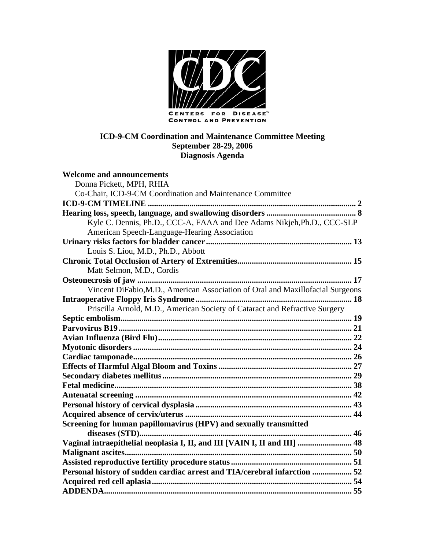

**ICD-9-CM Coordination and Maintenance Committee Meeting September 28-29, 2006 Diagnosis Agenda** 

| <b>Welcome and announcements</b>                                               |  |
|--------------------------------------------------------------------------------|--|
| Donna Pickett, MPH, RHIA                                                       |  |
| Co-Chair, ICD-9-CM Coordination and Maintenance Committee                      |  |
|                                                                                |  |
|                                                                                |  |
| Kyle C. Dennis, Ph.D., CCC-A, FAAA and Dee Adams Nikjeh, Ph.D., CCC-SLP        |  |
| American Speech-Language-Hearing Association                                   |  |
|                                                                                |  |
| Louis S. Liou, M.D., Ph.D., Abbott                                             |  |
|                                                                                |  |
| Matt Selmon, M.D., Cordis                                                      |  |
|                                                                                |  |
| Vincent DiFabio, M.D., American Association of Oral and Maxillofacial Surgeons |  |
|                                                                                |  |
| Priscilla Arnold, M.D., American Society of Cataract and Refractive Surgery    |  |
|                                                                                |  |
|                                                                                |  |
|                                                                                |  |
|                                                                                |  |
|                                                                                |  |
|                                                                                |  |
|                                                                                |  |
|                                                                                |  |
|                                                                                |  |
|                                                                                |  |
|                                                                                |  |
| Screening for human papillomavirus (HPV) and sexually transmitted              |  |
|                                                                                |  |
| Vaginal intraepithelial neoplasia I, II, and III [VAIN I, II and III]  48      |  |
|                                                                                |  |
|                                                                                |  |
| Personal history of sudden cardiac arrest and TIA/cerebral infarction  52      |  |
|                                                                                |  |
|                                                                                |  |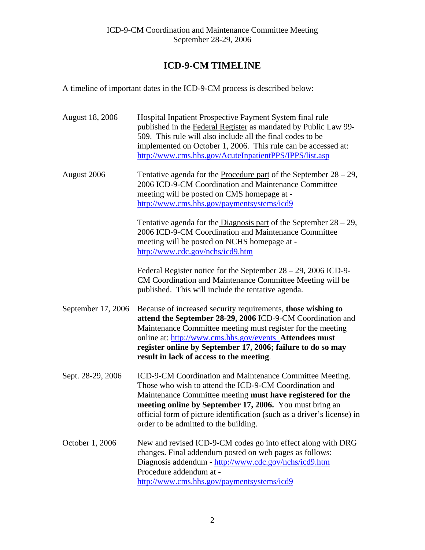# <span id="page-1-0"></span>**ICD-9-CM TIMELINE**

A timeline of important dates in the ICD-9-CM process is described below:

| <b>August 18, 2006</b> | Hospital Inpatient Prospective Payment System final rule<br>published in the Federal Register as mandated by Public Law 99-<br>509. This rule will also include all the final codes to be<br>implemented on October 1, 2006. This rule can be accessed at:<br>http://www.cms.hhs.gov/AcuteInpatientPPS/IPPS/list.asp                                            |
|------------------------|-----------------------------------------------------------------------------------------------------------------------------------------------------------------------------------------------------------------------------------------------------------------------------------------------------------------------------------------------------------------|
| August 2006            | Tentative agenda for the <b>Procedure part</b> of the September $28 - 29$ ,<br>2006 ICD-9-CM Coordination and Maintenance Committee<br>meeting will be posted on CMS homepage at -<br>http://www.cms.hhs.gov/paymentsystems/icd9                                                                                                                                |
|                        | Tentative agenda for the Diagnosis part of the September $28 - 29$ ,<br>2006 ICD-9-CM Coordination and Maintenance Committee<br>meeting will be posted on NCHS homepage at -<br>http://www.cdc.gov/nchs/icd9.htm                                                                                                                                                |
|                        | Federal Register notice for the September $28 - 29$ , 2006 ICD-9-<br>CM Coordination and Maintenance Committee Meeting will be<br>published. This will include the tentative agenda.                                                                                                                                                                            |
| September 17, 2006     | Because of increased security requirements, those wishing to<br>attend the September 28-29, 2006 ICD-9-CM Coordination and<br>Maintenance Committee meeting must register for the meeting<br>online at: http://www.cms.hhs.gov/events Attendees must<br>register online by September 17, 2006; failure to do so may<br>result in lack of access to the meeting. |
| Sept. 28-29, 2006      | ICD-9-CM Coordination and Maintenance Committee Meeting.<br>Those who wish to attend the ICD-9-CM Coordination and<br>Maintenance Committee meeting must have registered for the<br>meeting online by September 17, 2006. You must bring an<br>official form of picture identification (such as a driver's license) in<br>order to be admitted to the building. |
| October 1, 2006        | New and revised ICD-9-CM codes go into effect along with DRG<br>changes. Final addendum posted on web pages as follows:<br>Diagnosis addendum - http://www.cdc.gov/nchs/icd9.htm<br>Procedure addendum at -<br>http://www.cms.hhs.gov/paymentsystems/icd9                                                                                                       |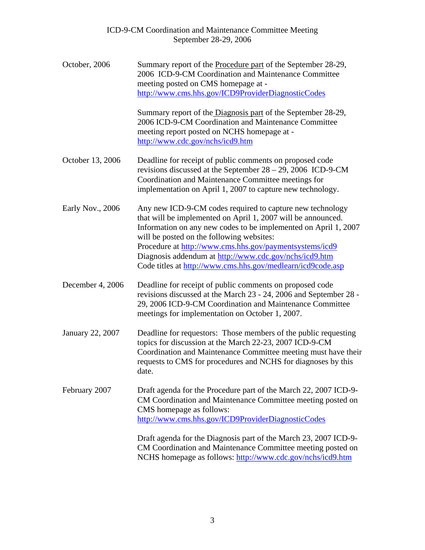| October, 2006    | Summary report of the Procedure part of the September 28-29,<br>2006 ICD-9-CM Coordination and Maintenance Committee<br>meeting posted on CMS homepage at -<br>http://www.cms.hhs.gov/ICD9ProviderDiagnosticCodes                                                                                                                                                                                                             |
|------------------|-------------------------------------------------------------------------------------------------------------------------------------------------------------------------------------------------------------------------------------------------------------------------------------------------------------------------------------------------------------------------------------------------------------------------------|
|                  | Summary report of the Diagnosis part of the September 28-29,<br>2006 ICD-9-CM Coordination and Maintenance Committee<br>meeting report posted on NCHS homepage at -<br>http://www.cdc.gov/nchs/icd9.htm                                                                                                                                                                                                                       |
| October 13, 2006 | Deadline for receipt of public comments on proposed code<br>revisions discussed at the September $28 - 29$ , 2006 ICD-9-CM<br>Coordination and Maintenance Committee meetings for<br>implementation on April 1, 2007 to capture new technology.                                                                                                                                                                               |
| Early Nov., 2006 | Any new ICD-9-CM codes required to capture new technology<br>that will be implemented on April 1, 2007 will be announced.<br>Information on any new codes to be implemented on April 1, 2007<br>will be posted on the following websites:<br>Procedure at http://www.cms.hhs.gov/paymentsystems/icd9<br>Diagnosis addendum at http://www.cdc.gov/nchs/icd9.htm<br>Code titles at http://www.cms.hhs.gov/medlearn/icd9code.asp |
| December 4, 2006 | Deadline for receipt of public comments on proposed code<br>revisions discussed at the March 23 - 24, 2006 and September 28 -<br>29, 2006 ICD-9-CM Coordination and Maintenance Committee<br>meetings for implementation on October 1, 2007.                                                                                                                                                                                  |
| January 22, 2007 | Deadline for requestors: Those members of the public requesting<br>topics for discussion at the March 22-23, 2007 ICD-9-CM<br>Coordination and Maintenance Committee meeting must have their<br>requests to CMS for procedures and NCHS for diagnoses by this<br>date.                                                                                                                                                        |
| February 2007    | Draft agenda for the Procedure part of the March 22, 2007 ICD-9-<br>CM Coordination and Maintenance Committee meeting posted on<br>CMS homepage as follows:<br>http://www.cms.hhs.gov/ICD9ProviderDiagnosticCodes                                                                                                                                                                                                             |
|                  | Draft agenda for the Diagnosis part of the March 23, 2007 ICD-9-<br>CM Coordination and Maintenance Committee meeting posted on<br>NCHS homepage as follows: http://www.cdc.gov/nchs/icd9.htm                                                                                                                                                                                                                                 |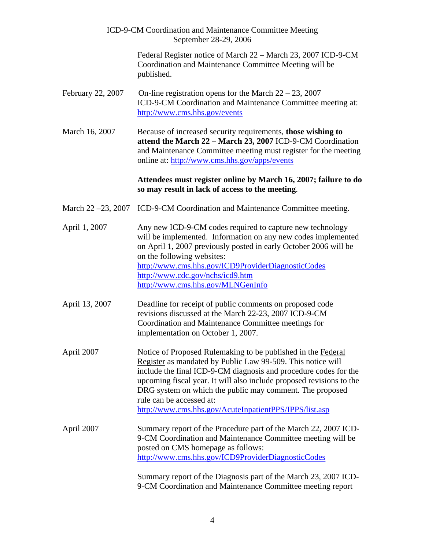|                          | ICD-9-CM Coordination and Maintenance Committee Meeting<br>September 28-29, 2006                                                                                                                                                                                                                                                                                                                                          |
|--------------------------|---------------------------------------------------------------------------------------------------------------------------------------------------------------------------------------------------------------------------------------------------------------------------------------------------------------------------------------------------------------------------------------------------------------------------|
|                          | Federal Register notice of March 22 – March 23, 2007 ICD-9-CM<br>Coordination and Maintenance Committee Meeting will be<br>published.                                                                                                                                                                                                                                                                                     |
| February 22, 2007        | On-line registration opens for the March $22 - 23$ , 2007<br>ICD-9-CM Coordination and Maintenance Committee meeting at:<br>http://www.cms.hhs.gov/events                                                                                                                                                                                                                                                                 |
| March 16, 2007           | Because of increased security requirements, those wishing to<br>attend the March 22 - March 23, 2007 ICD-9-CM Coordination<br>and Maintenance Committee meeting must register for the meeting<br>online at: http://www.cms.hhs.gov/apps/events                                                                                                                                                                            |
|                          | Attendees must register online by March 16, 2007; failure to do<br>so may result in lack of access to the meeting.                                                                                                                                                                                                                                                                                                        |
| March $22 - 23$ , $2007$ | ICD-9-CM Coordination and Maintenance Committee meeting.                                                                                                                                                                                                                                                                                                                                                                  |
| April 1, 2007            | Any new ICD-9-CM codes required to capture new technology<br>will be implemented. Information on any new codes implemented<br>on April 1, 2007 previously posted in early October 2006 will be<br>on the following websites:<br>http://www.cms.hhs.gov/ICD9ProviderDiagnosticCodes<br>http://www.cdc.gov/nchs/icd9.htm<br>http://www.cms.hhs.gov/MLNGenInfo                                                               |
| April 13, 2007           | Deadline for receipt of public comments on proposed code<br>revisions discussed at the March 22-23, 2007 ICD-9-CM<br>Coordination and Maintenance Committee meetings for<br>implementation on October 1, 2007.                                                                                                                                                                                                            |
| April 2007               | Notice of Proposed Rulemaking to be published in the Federal<br>Register as mandated by Public Law 99-509. This notice will<br>include the final ICD-9-CM diagnosis and procedure codes for the<br>upcoming fiscal year. It will also include proposed revisions to the<br>DRG system on which the public may comment. The proposed<br>rule can be accessed at:<br>http://www.cms.hhs.gov/AcuteInpatientPPS/IPPS/list.asp |
| April 2007               | Summary report of the Procedure part of the March 22, 2007 ICD-<br>9-CM Coordination and Maintenance Committee meeting will be<br>posted on CMS homepage as follows:<br>http://www.cms.hhs.gov/ICD9ProviderDiagnosticCodes<br>Summary report of the Diagnosis part of the March 23, 2007 ICD-<br>9-CM Coordination and Maintenance Committee meeting report                                                               |

4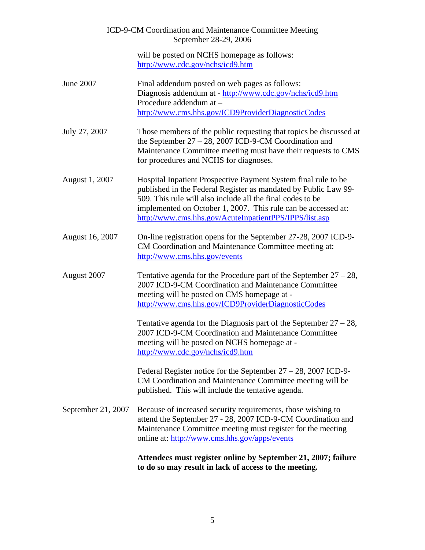|                    | ICD-9-CM Coordination and Maintenance Committee Meeting<br>September 28-29, 2006                                                                                                                                                                                                                                           |
|--------------------|----------------------------------------------------------------------------------------------------------------------------------------------------------------------------------------------------------------------------------------------------------------------------------------------------------------------------|
|                    | will be posted on NCHS homepage as follows:<br>http://www.cdc.gov/nchs/icd9.htm                                                                                                                                                                                                                                            |
| June 2007          | Final addendum posted on web pages as follows:<br>Diagnosis addendum at - http://www.cdc.gov/nchs/icd9.htm<br>Procedure addendum at -<br>http://www.cms.hhs.gov/ICD9ProviderDiagnosticCodes                                                                                                                                |
| July 27, 2007      | Those members of the public requesting that topics be discussed at<br>the September $27 - 28$ , 2007 ICD-9-CM Coordination and<br>Maintenance Committee meeting must have their requests to CMS<br>for procedures and NCHS for diagnoses.                                                                                  |
| August 1, 2007     | Hospital Inpatient Prospective Payment System final rule to be<br>published in the Federal Register as mandated by Public Law 99-<br>509. This rule will also include all the final codes to be<br>implemented on October 1, 2007. This rule can be accessed at:<br>http://www.cms.hhs.gov/AcuteInpatientPPS/IPPS/list.asp |
| August 16, 2007    | On-line registration opens for the September 27-28, 2007 ICD-9-<br>CM Coordination and Maintenance Committee meeting at:<br>http://www.cms.hhs.gov/events                                                                                                                                                                  |
| August 2007        | Tentative agenda for the Procedure part of the September $27 - 28$ ,<br>2007 ICD-9-CM Coordination and Maintenance Committee<br>meeting will be posted on CMS homepage at -<br>http://www.cms.hhs.gov/ICD9ProviderDiagnosticCodes                                                                                          |
|                    | Tentative agenda for the Diagnosis part of the September $27 - 28$ ,<br>2007 ICD-9-CM Coordination and Maintenance Committee<br>meeting will be posted on NCHS homepage at -<br>http://www.cdc.gov/nchs/icd9.htm                                                                                                           |
|                    | Federal Register notice for the September $27 - 28$ , 2007 ICD-9-<br>CM Coordination and Maintenance Committee meeting will be<br>published. This will include the tentative agenda.                                                                                                                                       |
| September 21, 2007 | Because of increased security requirements, those wishing to<br>attend the September 27 - 28, 2007 ICD-9-CM Coordination and<br>Maintenance Committee meeting must register for the meeting<br>online at: http://www.cms.hhs.gov/apps/events                                                                               |
|                    | Attendees must register online by September 21, 2007; failure<br>to do so may result in lack of access to the meeting.                                                                                                                                                                                                     |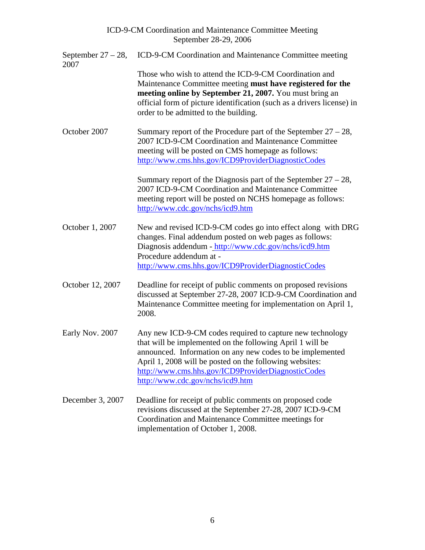| September $27 - 28$ ,<br>2007 | ICD-9-CM Coordination and Maintenance Committee meeting                                                                                                                                                                                                                                                                                  |
|-------------------------------|------------------------------------------------------------------------------------------------------------------------------------------------------------------------------------------------------------------------------------------------------------------------------------------------------------------------------------------|
|                               | Those who wish to attend the ICD-9-CM Coordination and<br>Maintenance Committee meeting must have registered for the<br>meeting online by September 21, 2007. You must bring an<br>official form of picture identification (such as a drivers license) in<br>order to be admitted to the building.                                       |
| October 2007                  | Summary report of the Procedure part of the September $27 - 28$ ,<br>2007 ICD-9-CM Coordination and Maintenance Committee<br>meeting will be posted on CMS homepage as follows:<br>http://www.cms.hhs.gov/ICD9ProviderDiagnosticCodes                                                                                                    |
|                               | Summary report of the Diagnosis part of the September $27 - 28$ ,<br>2007 ICD-9-CM Coordination and Maintenance Committee<br>meeting report will be posted on NCHS homepage as follows:<br>http://www.cdc.gov/nchs/icd9.htm                                                                                                              |
| October 1, 2007               | New and revised ICD-9-CM codes go into effect along with DRG<br>changes. Final addendum posted on web pages as follows:<br>Diagnosis addendum - http://www.cdc.gov/nchs/icd9.htm<br>Procedure addendum at -<br>http://www.cms.hhs.gov/ICD9ProviderDiagnosticCodes                                                                        |
| October 12, 2007              | Deadline for receipt of public comments on proposed revisions<br>discussed at September 27-28, 2007 ICD-9-CM Coordination and<br>Maintenance Committee meeting for implementation on April 1,<br>2008.                                                                                                                                   |
| Early Nov. 2007               | Any new ICD-9-CM codes required to capture new technology<br>that will be implemented on the following April 1 will be<br>announced. Information on any new codes to be implemented<br>April 1, 2008 will be posted on the following websites:<br>http://www.cms.hhs.gov/ICD9ProviderDiagnosticCodes<br>http://www.cdc.gov/nchs/icd9.htm |
| December 3, 2007              | Deadline for receipt of public comments on proposed code<br>revisions discussed at the September 27-28, 2007 ICD-9-CM<br>Coordination and Maintenance Committee meetings for<br>implementation of October 1, 2008.                                                                                                                       |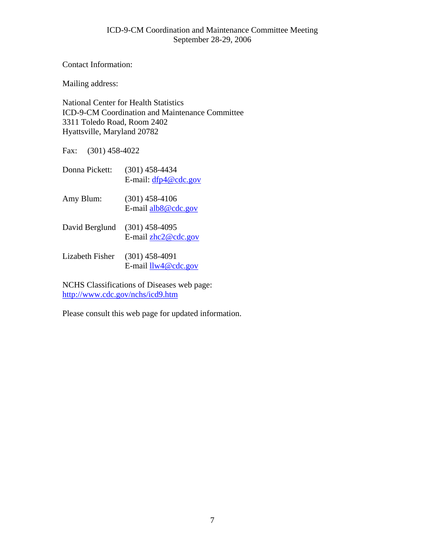Contact Information:

Mailing address:

National Center for Health Statistics ICD-9-CM Coordination and Maintenance Committee 3311 Toledo Road, Room 2402 Hyattsville, Maryland 20782

Fax: (301) 458-4022

| Donna Pickett:  | $(301)$ 458-4434<br>E-mail: $dfp4@cdc.gov$ |
|-----------------|--------------------------------------------|
| Amy Blum:       | $(301)$ 458-4106<br>E-mail alb8@cdc.gov    |
| David Berglund  | $(301)$ 458-4095<br>E-mail zhc2@cdc.gov    |
| Lizabeth Fisher | $(301)$ 458-4091<br>E-mail $llw4@cdc.gov$  |

NCHS Classifications of Diseases web page: <http://www.cdc.gov/nchs/icd9.htm>

Please consult this web page for updated information.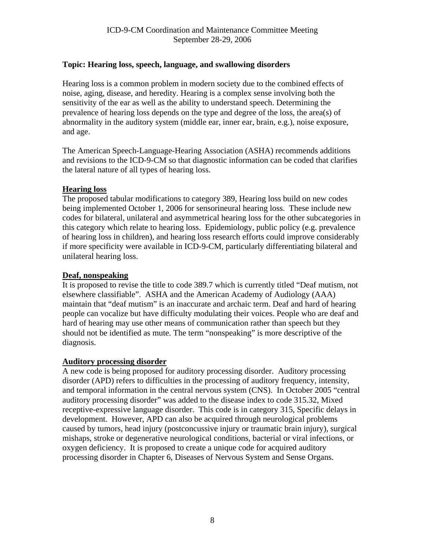# <span id="page-7-0"></span>**Topic: Hearing loss, speech, language, and swallowing disorders**

Hearing loss is a common problem in modern society due to the combined effects of noise, aging, disease, and heredity. Hearing is a complex sense involving both the sensitivity of the ear as well as the ability to understand speech. Determining the prevalence of hearing loss depends on the type and degree of the loss, the area(s) of abnormality in the auditory system (middle ear, inner ear, brain, e.g.), noise exposure, and age.

The American Speech-Language-Hearing Association (ASHA) recommends additions and revisions to the ICD-9-CM so that diagnostic information can be coded that clarifies the lateral nature of all types of hearing loss.

# **Hearing loss**

The proposed tabular modifications to category 389, Hearing loss build on new codes being implemented October 1, 2006 for sensorineural hearing loss. These include new codes for bilateral, unilateral and asymmetrical hearing loss for the other subcategories in this category which relate to hearing loss. Epidemiology, public policy (e.g. prevalence of hearing loss in children), and hearing loss research efforts could improve considerably if more specificity were available in ICD-9-CM, particularly differentiating bilateral and unilateral hearing loss.

# **Deaf, nonspeaking**

It is proposed to revise the title to code 389.7 which is currently titled "Deaf mutism, not elsewhere classifiable". ASHA and the American Academy of Audiology (AAA) maintain that "deaf mutism" is an inaccurate and archaic term. Deaf and hard of hearing people can vocalize but have difficulty modulating their voices. People who are deaf and hard of hearing may use other means of communication rather than speech but they should not be identified as mute. The term "nonspeaking" is more descriptive of the diagnosis.

# **Auditory processing disorder**

A new code is being proposed for auditory processing disorder. Auditory processing disorder (APD) refers to difficulties in the processing of auditory frequency, intensity, and temporal information in the central nervous system (CNS). In October 2005 "central auditory processing disorder" was added to the disease index to code 315.32, Mixed receptive-expressive language disorder. This code is in category 315, Specific delays in development. However, APD can also be acquired through neurological problems caused by tumors, head injury (postconcussive injury or traumatic brain injury), surgical mishaps, stroke or degenerative neurological conditions, bacterial or viral infections, or oxygen deficiency. It is proposed to create a unique code for acquired auditory processing disorder in Chapter 6, Diseases of Nervous System and Sense Organs.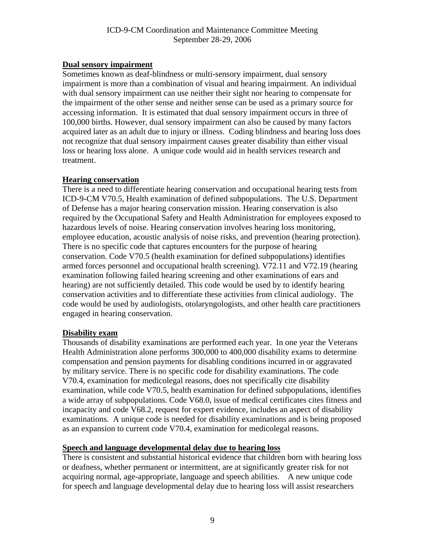### **Dual sensory impairment**

Sometimes known as deaf-blindness or multi-sensory impairment, dual sensory impairment is more than a combination of visual and hearing impairment. An individual with dual sensory impairment can use neither their sight nor hearing to compensate for the impairment of the other sense and neither sense can be used as a primary source for accessing information. It is estimated that dual sensory impairment occurs in three of 100,000 births. However, dual sensory impairment can also be caused by many factors acquired later as an adult due to injury or illness. Coding blindness and hearing loss does not recognize that dual sensory impairment causes greater disability than either visual loss or hearing loss alone. A unique code would aid in health services research and treatment.

#### **Hearing conservation**

There is a need to differentiate hearing conservation and occupational hearing tests from ICD-9-CM V70.5, Health examination of defined subpopulations. The U.S. Department of Defense has a major hearing conservation mission. Hearing conservation is also required by the Occupational Safety and Health Administration for employees exposed to hazardous levels of noise. Hearing conservation involves hearing loss monitoring, employee education, acoustic analysis of noise risks, and prevention (hearing protection). There is no specific code that captures encounters for the purpose of hearing conservation. Code V70.5 (health examination for defined subpopulations) identifies armed forces personnel and occupational health screening). V72.11 and V72.19 (hearing examination following failed hearing screening and other examinations of ears and hearing) are not sufficiently detailed. This code would be used by to identify hearing conservation activities and to differentiate these activities from clinical audiology. The code would be used by audiologists, otolaryngologists, and other health care practitioners engaged in hearing conservation.

#### **Disability exam**

Thousands of disability examinations are performed each year. In one year the Veterans Health Administration alone performs 300,000 to 400,000 disability exams to determine compensation and pension payments for disabling conditions incurred in or aggravated by military service. There is no specific code for disability examinations. The code V70.4, examination for medicolegal reasons, does not specifically cite disability examination, while code V70.5, health examination for defined subpopulations, identifies a wide array of subpopulations. Code V68.0, issue of medical certificates cites fitness and incapacity and code V68.2, request for expert evidence, includes an aspect of disability examinations. A unique code is needed for disability examinations and is being proposed as an expansion to current code V70.4, examination for medicolegal reasons.

#### **Speech and language developmental delay due to hearing loss**

There is consistent and substantial historical evidence that children born with hearing loss or deafness, whether permanent or intermittent, are at significantly greater risk for not acquiring normal, age-appropriate, language and speech abilities. A new unique code for speech and language developmental delay due to hearing loss will assist researchers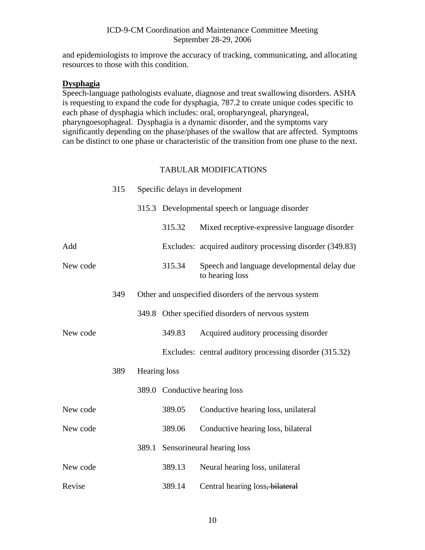and epidemiologists to improve the accuracy of tracking, communicating, and allocating resources to those with this condition.

#### **Dysphagia**

Speech-language pathologists evaluate, diagnose and treat swallowing disorders. ASHA is requesting to expand the code for dysphagia, 787.2 to create unique codes specific to each phase of dysphagia which includes: oral, oropharyngeal, pharyngeal, pharyngoesophageal. Dysphagia is a dynamic disorder, and the symptoms vary significantly depending on the phase/phases of the swallow that are affected. Symptoms can be distinct to one phase or characteristic of the transition from one phase to the next.

|          | 315 |              | Specific delays in development |                                                                |
|----------|-----|--------------|--------------------------------|----------------------------------------------------------------|
|          |     |              |                                | 315.3 Developmental speech or language disorder                |
|          |     |              | 315.32                         | Mixed receptive-expressive language disorder                   |
| Add      |     |              |                                | Excludes: acquired auditory processing disorder (349.83)       |
| New code |     |              | 315.34                         | Speech and language developmental delay due<br>to hearing loss |
|          | 349 |              |                                | Other and unspecified disorders of the nervous system          |
|          |     |              |                                | 349.8 Other specified disorders of nervous system              |
| New code |     |              | 349.83                         | Acquired auditory processing disorder                          |
|          |     |              |                                | Excludes: central auditory processing disorder (315.32)        |
|          | 389 | Hearing loss |                                |                                                                |
|          |     |              |                                | 389.0 Conductive hearing loss                                  |
| New code |     |              | 389.05                         | Conductive hearing loss, unilateral                            |
| New code |     |              | 389.06                         | Conductive hearing loss, bilateral                             |
|          |     |              |                                | 389.1 Sensorineural hearing loss                               |
| New code |     |              | 389.13                         | Neural hearing loss, unilateral                                |
| Revise   |     |              | 389.14                         | Central hearing loss, bilateral                                |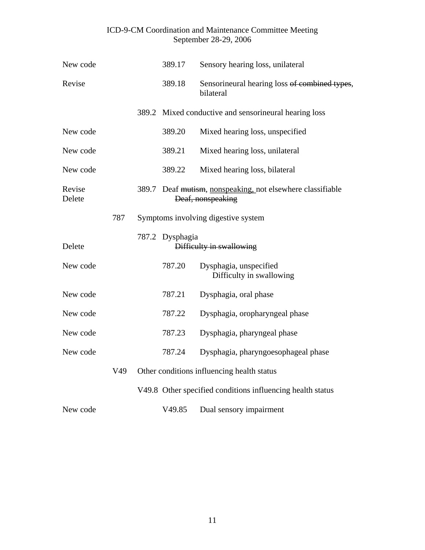| New code         |     | 389.17          | Sensory hearing loss, unilateral                                                |
|------------------|-----|-----------------|---------------------------------------------------------------------------------|
| Revise           |     | 389.18          | Sensorineural hearing loss of combined types,<br>bilateral                      |
|                  |     |                 | 389.2 Mixed conductive and sensorineural hearing loss                           |
| New code         |     | 389.20          | Mixed hearing loss, unspecified                                                 |
| New code         |     | 389.21          | Mixed hearing loss, unilateral                                                  |
| New code         |     | 389.22          | Mixed hearing loss, bilateral                                                   |
| Revise<br>Delete |     |                 | 389.7 Deaf mutism, nonspeaking, not elsewhere classifiable<br>Deaf, nonspeaking |
|                  | 787 |                 | Symptoms involving digestive system                                             |
| Delete           |     | 787.2 Dysphagia | Difficulty in swallowing                                                        |
| New code         |     | 787.20          | Dysphagia, unspecified<br>Difficulty in swallowing                              |
| New code         |     | 787.21          | Dysphagia, oral phase                                                           |
| New code         |     | 787.22          | Dysphagia, oropharyngeal phase                                                  |
| New code         |     | 787.23          | Dysphagia, pharyngeal phase                                                     |
| New code         |     | 787.24          | Dysphagia, pharyngoesophageal phase                                             |
|                  | V49 |                 | Other conditions influencing health status                                      |
|                  |     |                 | V49.8 Other specified conditions influencing health status                      |
| New code         |     | V49.85          | Dual sensory impairment                                                         |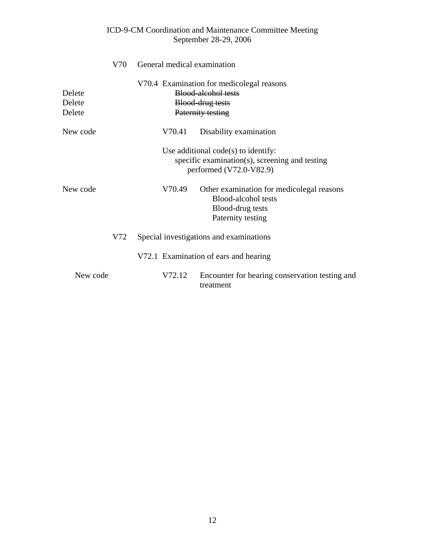|                            | V70 |        | General medical examination                                                                                        |
|----------------------------|-----|--------|--------------------------------------------------------------------------------------------------------------------|
| Delete<br>Delete<br>Delete |     |        | V70.4 Examination for medicolegal reasons<br>Blood-alcohol tests<br>Blood-drug tests<br>Paternity testing          |
| New code                   |     | V70.41 | Disability examination                                                                                             |
|                            |     |        | Use additional $code(s)$ to identify:<br>specific examination(s), screening and testing<br>performed (V72.0-V82.9) |
| New code                   |     | V70.49 | Other examination for medicolegal reasons<br>Blood-alcohol tests<br>Blood-drug tests<br>Paternity testing          |
|                            | V72 |        | Special investigations and examinations                                                                            |
|                            |     |        | V72.1 Examination of ears and hearing                                                                              |
| New code                   |     | V72.12 | Encounter for hearing conservation testing and<br>treatment                                                        |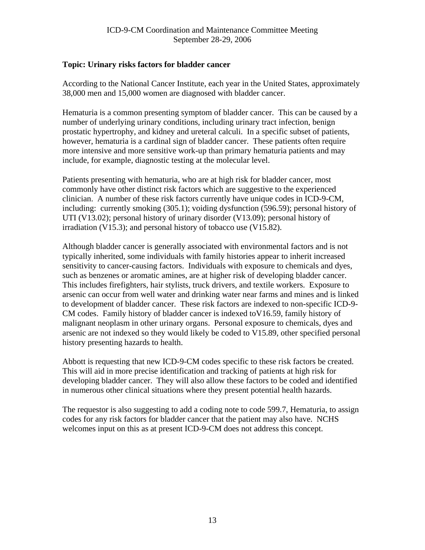# <span id="page-12-0"></span>**Topic: Urinary risks factors for bladder cancer**

According to the National Cancer Institute, each year in the United States, approximately 38,000 men and 15,000 women are diagnosed with bladder cancer.

Hematuria is a common presenting symptom of bladder cancer. This can be caused by a number of underlying urinary conditions, including urinary tract infection, benign prostatic hypertrophy, and kidney and ureteral calculi. In a specific subset of patients, however, hematuria is a cardinal sign of bladder cancer. These patients often require more intensive and more sensitive work-up than primary hematuria patients and may include, for example, diagnostic testing at the molecular level.

Patients presenting with hematuria, who are at high risk for bladder cancer, most commonly have other distinct risk factors which are suggestive to the experienced clinician. A number of these risk factors currently have unique codes in ICD-9-CM, including: currently smoking (305.1); voiding dysfunction (596.59); personal history of UTI (V13.02); personal history of urinary disorder (V13.09); personal history of irradiation (V15.3); and personal history of tobacco use (V15.82).

Although bladder cancer is generally associated with environmental factors and is not typically inherited, some individuals with family histories appear to inherit increased sensitivity to cancer-causing factors. Individuals with exposure to chemicals and dyes, such as benzenes or aromatic amines, are at higher risk of developing bladder cancer. This includes firefighters, hair stylists, truck drivers, and textile workers. Exposure to arsenic can occur from well water and drinking water near farms and mines and is linked to development of bladder cancer. These risk factors are indexed to non-specific ICD-9- CM codes. Family history of bladder cancer is indexed toV16.59, family history of malignant neoplasm in other urinary organs. Personal exposure to chemicals, dyes and arsenic are not indexed so they would likely be coded to V15.89, other specified personal history presenting hazards to health.

Abbott is requesting that new ICD-9-CM codes specific to these risk factors be created. This will aid in more precise identification and tracking of patients at high risk for developing bladder cancer. They will also allow these factors to be coded and identified in numerous other clinical situations where they present potential health hazards.

The requestor is also suggesting to add a coding note to code 599.7, Hematuria, to assign codes for any risk factors for bladder cancer that the patient may also have. NCHS welcomes input on this as at present ICD-9-CM does not address this concept.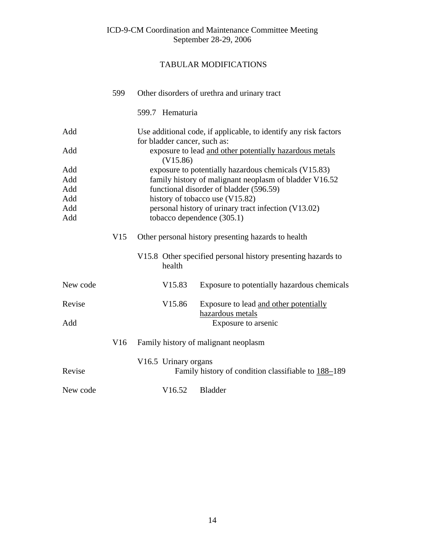|          | 599 | Other disorders of urethra and urinary tract                                                     |  |  |  |  |
|----------|-----|--------------------------------------------------------------------------------------------------|--|--|--|--|
|          |     | 599.7 Hematuria                                                                                  |  |  |  |  |
| Add      |     | Use additional code, if applicable, to identify any risk factors<br>for bladder cancer, such as: |  |  |  |  |
| Add      |     | exposure to lead and other potentially hazardous metals<br>(V15.86)                              |  |  |  |  |
| Add      |     | exposure to potentially hazardous chemicals (V15.83)                                             |  |  |  |  |
| Add      |     | family history of malignant neoplasm of bladder V16.52                                           |  |  |  |  |
| Add      |     | functional disorder of bladder (596.59)                                                          |  |  |  |  |
| Add      |     | history of tobacco use (V15.82)                                                                  |  |  |  |  |
| Add      |     | personal history of urinary tract infection (V13.02)                                             |  |  |  |  |
| Add      |     | tobacco dependence (305.1)                                                                       |  |  |  |  |
|          | V15 | Other personal history presenting hazards to health                                              |  |  |  |  |
|          |     | V15.8 Other specified personal history presenting hazards to<br>health                           |  |  |  |  |
| New code |     | V <sub>15.83</sub><br>Exposure to potentially hazardous chemicals                                |  |  |  |  |
| Revise   |     | V15.86<br>Exposure to lead and other potentially<br>hazardous metals                             |  |  |  |  |
| Add      |     | Exposure to arsenic                                                                              |  |  |  |  |
|          | V16 | Family history of malignant neoplasm                                                             |  |  |  |  |
| Revise   |     | V16.5 Urinary organs<br>Family history of condition classifiable to 188-189                      |  |  |  |  |
| New code |     | V16.52<br><b>Bladder</b>                                                                         |  |  |  |  |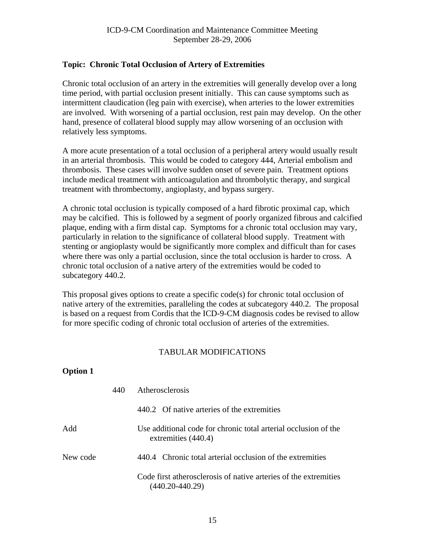# <span id="page-14-0"></span>**Topic: Chronic Total Occlusion of Artery of Extremities**

Chronic total occlusion of an artery in the extremities will generally develop over a long time period, with partial occlusion present initially. This can cause symptoms such as intermittent claudication (leg pain with exercise), when arteries to the lower extremities are involved. With worsening of a partial occlusion, rest pain may develop. On the other hand, presence of collateral blood supply may allow worsening of an occlusion with relatively less symptoms.

A more acute presentation of a total occlusion of a peripheral artery would usually result in an arterial thrombosis. This would be coded to category 444, Arterial embolism and thrombosis. These cases will involve sudden onset of severe pain. Treatment options include medical treatment with anticoagulation and thrombolytic therapy, and surgical treatment with thrombectomy, angioplasty, and bypass surgery.

A chronic total occlusion is typically composed of a hard fibrotic proximal cap, which may be calcified. This is followed by a segment of poorly organized fibrous and calcified plaque, ending with a firm distal cap. Symptoms for a chronic total occlusion may vary, particularly in relation to the significance of collateral blood supply. Treatment with stenting or angioplasty would be significantly more complex and difficult than for cases where there was only a partial occlusion, since the total occlusion is harder to cross. A chronic total occlusion of a native artery of the extremities would be coded to subcategory 440.2.

This proposal gives options to create a specific code(s) for chronic total occlusion of native artery of the extremities, paralleling the codes at subcategory 440.2. The proposal is based on a request from Cordis that the ICD-9-CM diagnosis codes be revised to allow for more specific coding of chronic total occlusion of arteries of the extremities.

# TABULAR MODIFICATIONS

# **Option 1**

|          | 440 | Atherosclerosis                                                                        |  |  |  |
|----------|-----|----------------------------------------------------------------------------------------|--|--|--|
|          |     | 440.2 Of native arteries of the extremities                                            |  |  |  |
| Add      |     | Use additional code for chronic total arterial occlusion of the<br>extremities (440.4) |  |  |  |
| New code |     | 440.4 Chronic total arterial occlusion of the extremities                              |  |  |  |
|          |     | Code first atherosclerosis of native arteries of the extremities<br>(440.20-440.29)    |  |  |  |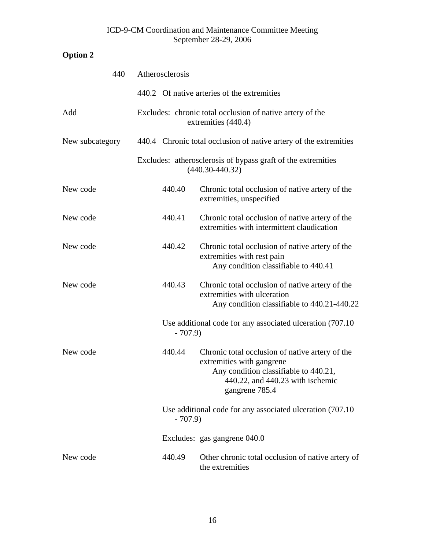# **Option 2**

| 440             | Atherosclerosis |                                                                                                                                                                             |
|-----------------|-----------------|-----------------------------------------------------------------------------------------------------------------------------------------------------------------------------|
|                 |                 | 440.2 Of native arteries of the extremities                                                                                                                                 |
| Add             |                 | Excludes: chronic total occlusion of native artery of the<br>extremities (440.4)                                                                                            |
| New subcategory |                 | 440.4 Chronic total occlusion of native artery of the extremities                                                                                                           |
|                 |                 | Excludes: atherosclerosis of bypass graft of the extremities<br>$(440.30 - 440.32)$                                                                                         |
| New code        | 440.40          | Chronic total occlusion of native artery of the<br>extremities, unspecified                                                                                                 |
| New code        | 440.41          | Chronic total occlusion of native artery of the<br>extremities with intermittent claudication                                                                               |
| New code        | 440.42          | Chronic total occlusion of native artery of the<br>extremities with rest pain<br>Any condition classifiable to 440.41                                                       |
| New code        | 440.43          | Chronic total occlusion of native artery of the<br>extremities with ulceration<br>Any condition classifiable to 440.21-440.22                                               |
|                 | $-707.9$        | Use additional code for any associated ulceration (707.10)                                                                                                                  |
| New code        | 440.44          | Chronic total occlusion of native artery of the<br>extremities with gangrene<br>Any condition classifiable to 440.21,<br>440.22, and 440.23 with ischemic<br>gangrene 785.4 |
|                 | $-707.9$        | Use additional code for any associated ulceration (707.10)                                                                                                                  |
|                 |                 | Excludes: gas gangrene 040.0                                                                                                                                                |
| New code        | 440.49          | Other chronic total occlusion of native artery of<br>the extremities                                                                                                        |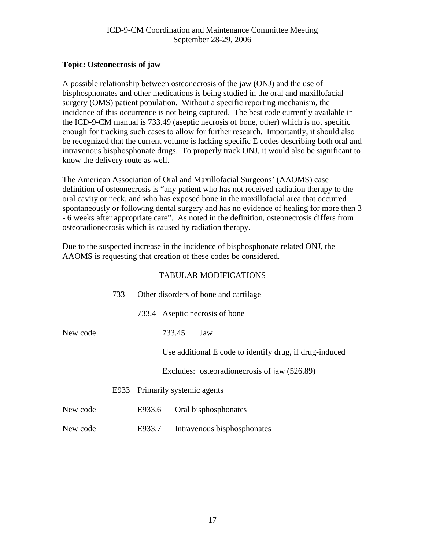# <span id="page-16-0"></span>**Topic: Osteonecrosis of jaw**

A possible relationship between osteonecrosis of the jaw (ONJ) and the use of bisphosphonates and other medications is being studied in the oral and maxillofacial surgery (OMS) patient population. Without a specific reporting mechanism, the incidence of this occurrence is not being captured. The best code currently available in the ICD-9-CM manual is 733.49 (aseptic necrosis of bone, other) which is not specific enough for tracking such cases to allow for further research. Importantly, it should also be recognized that the current volume is lacking specific E codes describing both oral and intravenous bisphosphonate drugs. To properly track ONJ, it would also be significant to know the delivery route as well.

The American Association of Oral and Maxillofacial Surgeons' (AAOMS) case definition of osteonecrosis is "any patient who has not received radiation therapy to the oral cavity or neck, and who has exposed bone in the maxillofacial area that occurred spontaneously or following dental surgery and has no evidence of healing for more then 3 - 6 weeks after appropriate care". As noted in the definition, osteonecrosis differs from osteoradionecrosis which is caused by radiation therapy.

Due to the suspected increase in the incidence of bisphosphonate related ONJ, the AAOMS is requesting that creation of these codes be considered.

|          | 733  | Other disorders of bone and cartilage |                           |                                                         |
|----------|------|---------------------------------------|---------------------------|---------------------------------------------------------|
|          |      |                                       |                           | 733.4 Aseptic necrosis of bone                          |
| New code |      |                                       | 733.45                    | Jaw                                                     |
|          |      |                                       |                           | Use additional E code to identify drug, if drug-induced |
|          |      |                                       |                           | Excludes: osteoradionecrosis of jaw (526.89)            |
|          | E933 |                                       | Primarily systemic agents |                                                         |
| New code |      | E933.6                                |                           | Oral bisphosphonates                                    |
| New code |      | E933.7                                |                           | Intravenous bisphosphonates                             |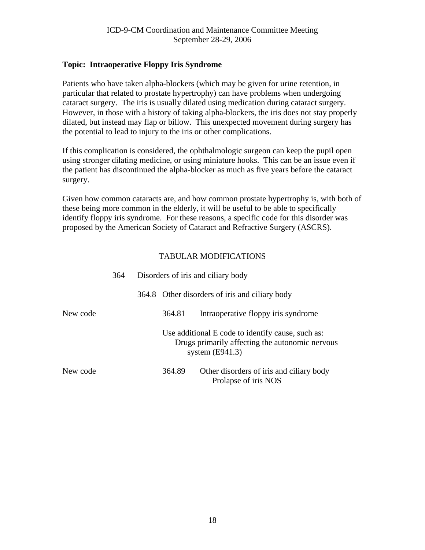# <span id="page-17-0"></span>**Topic: Intraoperative Floppy Iris Syndrome**

Patients who have taken alpha-blockers (which may be given for urine retention, in particular that related to prostate hypertrophy) can have problems when undergoing cataract surgery. The iris is usually dilated using medication during cataract surgery. However, in those with a history of taking alpha-blockers, the iris does not stay properly dilated, but instead may flap or billow. This unexpected movement during surgery has the potential to lead to injury to the iris or other complications.

If this complication is considered, the ophthalmologic surgeon can keep the pupil open using stronger dilating medicine, or using miniature hooks. This can be an issue even if the patient has discontinued the alpha-blocker as much as five years before the cataract surgery.

Given how common cataracts are, and how common prostate hypertrophy is, with both of these being more common in the elderly, it will be useful to be able to specifically identify floppy iris syndrome. For these reasons, a specific code for this disorder was proposed by the American Society of Cataract and Refractive Surgery (ASCRS).

|          | 364 | Disorders of iris and ciliary body |                                                                                                                           |  |
|----------|-----|------------------------------------|---------------------------------------------------------------------------------------------------------------------------|--|
|          |     |                                    | 364.8 Other disorders of iris and ciliary body                                                                            |  |
| New code |     | 364.81                             | Intraoperative floppy iris syndrome                                                                                       |  |
|          |     |                                    | Use additional E code to identify cause, such as:<br>Drugs primarily affecting the autonomic nervous<br>system $(E941.3)$ |  |
| New code |     | 364.89                             | Other disorders of iris and ciliary body<br>Prolapse of iris NOS                                                          |  |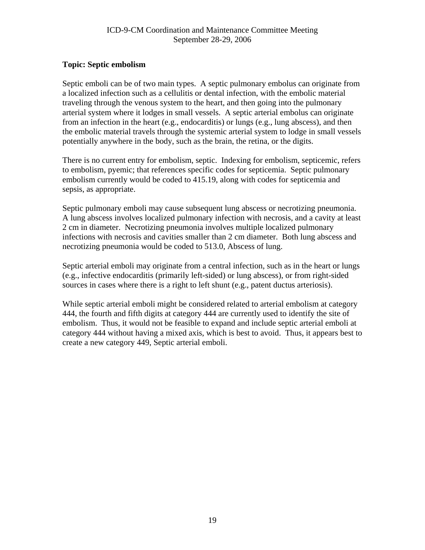# <span id="page-18-0"></span>**Topic: Septic embolism**

Septic emboli can be of two main types. A septic pulmonary embolus can originate from a localized infection such as a cellulitis or dental infection, with the embolic material traveling through the venous system to the heart, and then going into the pulmonary arterial system where it lodges in small vessels. A septic arterial embolus can originate from an infection in the heart (e.g., endocarditis) or lungs (e.g., lung abscess), and then the embolic material travels through the systemic arterial system to lodge in small vessels potentially anywhere in the body, such as the brain, the retina, or the digits.

There is no current entry for embolism, septic. Indexing for embolism, septicemic, refers to embolism, pyemic; that references specific codes for septicemia. Septic pulmonary embolism currently would be coded to 415.19, along with codes for septicemia and sepsis, as appropriate.

Septic pulmonary emboli may cause subsequent lung abscess or necrotizing pneumonia. A lung abscess involves localized pulmonary infection with necrosis, and a cavity at least 2 cm in diameter. Necrotizing pneumonia involves multiple localized pulmonary infections with necrosis and cavities smaller than 2 cm diameter. Both lung abscess and necrotizing pneumonia would be coded to 513.0, Abscess of lung.

Septic arterial emboli may originate from a central infection, such as in the heart or lungs (e.g., infective endocarditis (primarily left-sided) or lung abscess), or from right-sided sources in cases where there is a right to left shunt (e.g., patent ductus arteriosis).

While septic arterial emboli might be considered related to arterial embolism at category 444, the fourth and fifth digits at category 444 are currently used to identify the site of embolism. Thus, it would not be feasible to expand and include septic arterial emboli at category 444 without having a mixed axis, which is best to avoid. Thus, it appears best to create a new category 449, Septic arterial emboli.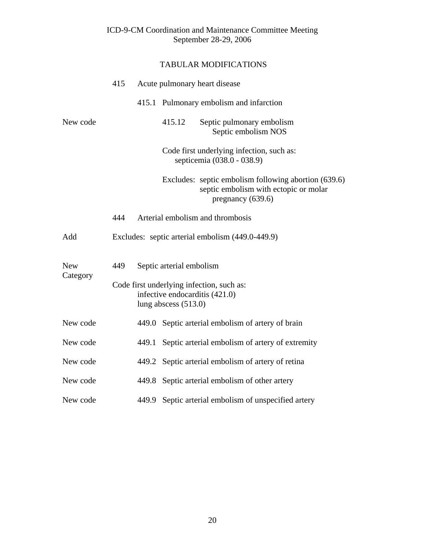|            | 415 |       |                          | Acute pulmonary heart disease                                                                                      |
|------------|-----|-------|--------------------------|--------------------------------------------------------------------------------------------------------------------|
|            |     |       |                          | 415.1 Pulmonary embolism and infarction                                                                            |
| New code   |     |       | 415.12                   | Septic pulmonary embolism<br>Septic embolism NOS                                                                   |
|            |     |       |                          | Code first underlying infection, such as:<br>septicemia (038.0 - 038.9)                                            |
|            |     |       |                          | Excludes: septic embolism following abortion (639.6)<br>septic embolism with ectopic or molar<br>pregnancy (639.6) |
|            | 444 |       |                          | Arterial embolism and thrombosis                                                                                   |
| Add        |     |       |                          | Excludes: septic arterial embolism (449.0-449.9)                                                                   |
| <b>New</b> | 449 |       | Septic arterial embolism |                                                                                                                    |
| Category   |     |       | lung abscess $(513.0)$   | Code first underlying infection, such as:<br>infective endocarditis (421.0)                                        |
| New code   |     |       |                          | 449.0 Septic arterial embolism of artery of brain                                                                  |
| New code   |     | 449.1 |                          | Septic arterial embolism of artery of extremity                                                                    |
| New code   |     |       |                          | 449.2 Septic arterial embolism of artery of retina                                                                 |
| New code   |     |       |                          | 449.8 Septic arterial embolism of other artery                                                                     |
| New code   |     | 449.9 |                          | Septic arterial embolism of unspecified artery                                                                     |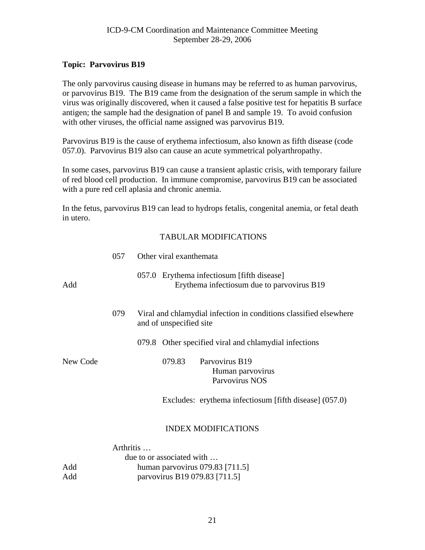# <span id="page-20-0"></span>**Topic: Parvovirus B19**

The only parvovirus causing disease in humans may be referred to as human parvovirus, or parvovirus B19. The B19 came from the designation of the serum sample in which the virus was originally discovered, when it caused a false positive test for hepatitis B surface antigen; the sample had the designation of panel B and sample 19. To avoid confusion with other viruses, the official name assigned was parvovirus B19.

Parvovirus B19 is the cause of erythema infectiosum, also known as fifth disease (code 057.0). Parvovirus B19 also can cause an acute symmetrical polyarthropathy.

In some cases, parvovirus B19 can cause a transient aplastic crisis, with temporary failure of red blood cell production. In immune compromise, parvovirus B19 can be associated with a pure red cell aplasia and chronic anemia.

In the fetus, parvovirus B19 can lead to hydrops fetalis, congenital anemia, or fetal death in utero.

|          | 057 |           | Other viral exanthemata                                                                      |
|----------|-----|-----------|----------------------------------------------------------------------------------------------|
| Add      |     |           | 057.0 Erythema infectiosum [fifth disease]<br>Erythema infectiosum due to parvovirus B19     |
|          | 079 |           | Viral and chlamydial infection in conditions classified elsewhere<br>and of unspecified site |
|          |     |           | 079.8 Other specified viral and chlamydial infections                                        |
| New Code |     |           | Parvovirus B19<br>079.83<br>Human parvovirus<br>Parvovirus NOS                               |
|          |     |           | Excludes: erythema infectiosum [fifth disease] (057.0)                                       |
|          |     |           | <b>INDEX MODIFICATIONS</b>                                                                   |
|          |     | Arthritis |                                                                                              |
|          |     |           | due to or associated with                                                                    |
| Add      |     |           | human parvovirus $079.83$ [711.5]                                                            |
| Add      |     |           | parvovirus B19 079.83 [711.5]                                                                |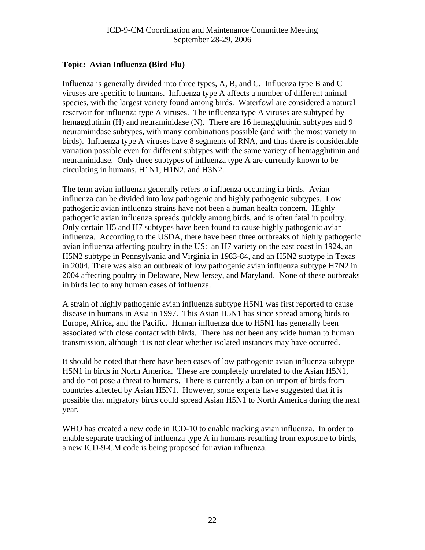# <span id="page-21-0"></span>**Topic: Avian Influenza (Bird Flu)**

Influenza is generally divided into three types, A, B, and C. Influenza type B and C viruses are specific to humans. Influenza type A affects a number of different animal species, with the largest variety found among birds. Waterfowl are considered a natural reservoir for influenza type A viruses. The influenza type A viruses are subtyped by hemagglutinin (H) and neuraminidase (N). There are 16 hemagglutinin subtypes and 9 neuraminidase subtypes, with many combinations possible (and with the most variety in birds). Influenza type A viruses have 8 segments of RNA, and thus there is considerable variation possible even for different subtypes with the same variety of hemagglutinin and neuraminidase. Only three subtypes of influenza type A are currently known to be circulating in humans, H1N1, H1N2, and H3N2.

The term avian influenza generally refers to influenza occurring in birds. Avian influenza can be divided into low pathogenic and highly pathogenic subtypes. Low pathogenic avian influenza strains have not been a human health concern. Highly pathogenic avian influenza spreads quickly among birds, and is often fatal in poultry. Only certain H5 and H7 subtypes have been found to cause highly pathogenic avian influenza. According to the USDA, there have been three outbreaks of highly pathogenic avian influenza affecting poultry in the US: an H7 variety on the east coast in 1924, an H5N2 subtype in Pennsylvania and Virginia in 1983-84, and an H5N2 subtype in Texas in 2004. There was also an outbreak of low pathogenic avian influenza subtype H7N2 in 2004 affecting poultry in Delaware, New Jersey, and Maryland. None of these outbreaks in birds led to any human cases of influenza.

A strain of highly pathogenic avian influenza subtype H5N1 was first reported to cause disease in humans in Asia in 1997. This Asian H5N1 has since spread among birds to Europe, Africa, and the Pacific. Human influenza due to H5N1 has generally been associated with close contact with birds. There has not been any wide human to human transmission, although it is not clear whether isolated instances may have occurred.

It should be noted that there have been cases of low pathogenic avian influenza subtype H5N1 in birds in North America. These are completely unrelated to the Asian H5N1, and do not pose a threat to humans. There is currently a ban on import of birds from countries affected by Asian H5N1. However, some experts have suggested that it is possible that migratory birds could spread Asian H5N1 to North America during the next year.

WHO has created a new code in ICD-10 to enable tracking avian influenza. In order to enable separate tracking of influenza type A in humans resulting from exposure to birds, a new ICD-9-CM code is being proposed for avian influenza.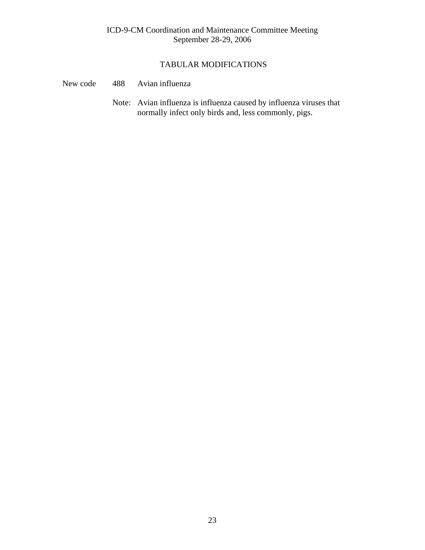- New code 488 Avian influenza
	- Note: Avian influenza is influenza caused by influenza viruses that normally infect only birds and, less commonly, pigs.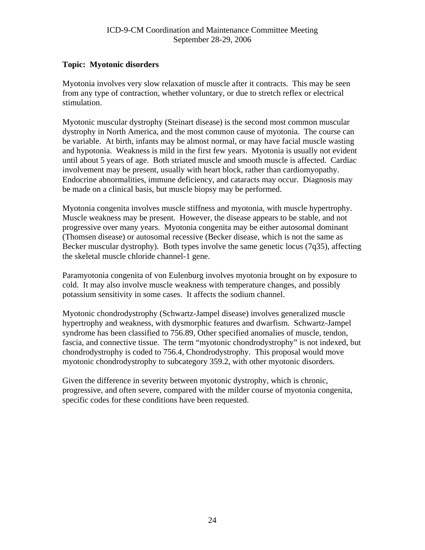# <span id="page-23-0"></span>**Topic: Myotonic disorders**

Myotonia involves very slow relaxation of muscle after it contracts. This may be seen from any type of contraction, whether voluntary, or due to stretch reflex or electrical stimulation.

Myotonic muscular dystrophy (Steinart disease) is the second most common muscular dystrophy in North America, and the most common cause of myotonia. The course can be variable. At birth, infants may be almost normal, or may have facial muscle wasting and hypotonia. Weakness is mild in the first few years. Myotonia is usually not evident until about 5 years of age. Both striated muscle and smooth muscle is affected. Cardiac involvement may be present, usually with heart block, rather than cardiomyopathy. Endocrine abnormalities, immune deficiency, and cataracts may occur. Diagnosis may be made on a clinical basis, but muscle biopsy may be performed.

Myotonia congenita involves muscle stiffness and myotonia, with muscle hypertrophy. Muscle weakness may be present. However, the disease appears to be stable, and not progressive over many years. Myotonia congenita may be either autosomal dominant (Thomsen disease) or autosomal recessive (Becker disease, which is not the same as Becker muscular dystrophy). Both types involve the same genetic locus (7q35), affecting the skeletal muscle chloride channel-1 gene.

Paramyotonia congenita of von Eulenburg involves myotonia brought on by exposure to cold. It may also involve muscle weakness with temperature changes, and possibly potassium sensitivity in some cases. It affects the sodium channel.

Myotonic chondrodystrophy (Schwartz-Jampel disease) involves generalized muscle hypertrophy and weakness, with dysmorphic features and dwarfism. Schwartz-Jampel syndrome has been classified to 756.89, Other specified anomalies of muscle, tendon, fascia, and connective tissue. The term "myotonic chondrodystrophy" is not indexed, but chondrodystrophy is coded to 756.4, Chondrodystrophy. This proposal would move myotonic chondrodystrophy to subcategory 359.2, with other myotonic disorders.

Given the difference in severity between myotonic dystrophy, which is chronic, progressive, and often severe, compared with the milder course of myotonia congenita, specific codes for these conditions have been requested.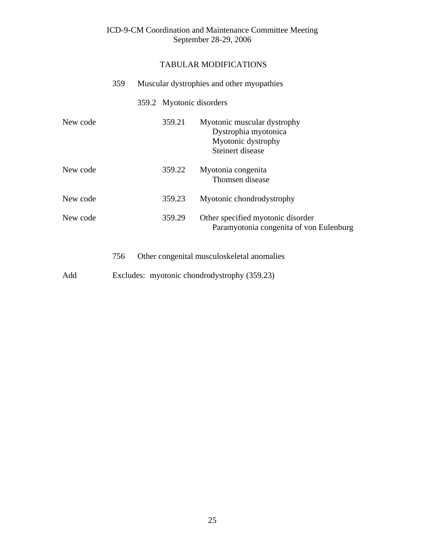# TABULAR MODIFICATIONS

|          | 359 |                          | Muscular dystrophies and other myopathies                                                     |
|----------|-----|--------------------------|-----------------------------------------------------------------------------------------------|
|          |     | 359.2 Myotonic disorders |                                                                                               |
| New code |     | 359.21                   | Myotonic muscular dystrophy<br>Dystrophia myotonica<br>Myotonic dystrophy<br>Steinert disease |
| New code |     | 359.22                   | Myotonia congenita<br>Thomsen disease                                                         |
| New code |     | 359.23                   | Myotonic chondrodystrophy                                                                     |
| New code |     | 359.29                   | Other specified myotonic disorder<br>Paramyotonia congenita of von Eulenburg                  |
|          | 756 |                          | Other congenital musculoskeletal anomalies                                                    |

Add Excludes: myotonic chondrodystrophy (359.23)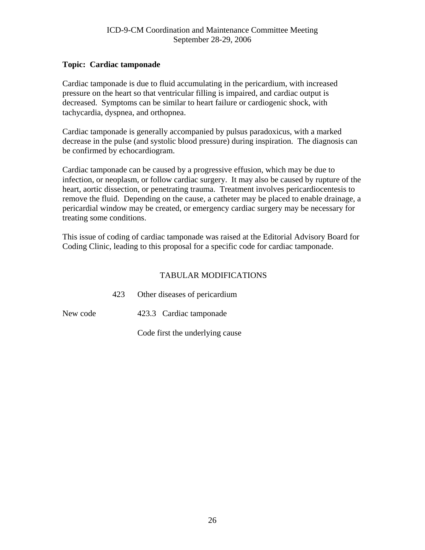# <span id="page-25-0"></span>**Topic: Cardiac tamponade**

Cardiac tamponade is due to fluid accumulating in the pericardium, with increased pressure on the heart so that ventricular filling is impaired, and cardiac output is decreased. Symptoms can be similar to heart failure or cardiogenic shock, with tachycardia, dyspnea, and orthopnea.

Cardiac tamponade is generally accompanied by pulsus paradoxicus, with a marked decrease in the pulse (and systolic blood pressure) during inspiration. The diagnosis can be confirmed by echocardiogram.

Cardiac tamponade can be caused by a progressive effusion, which may be due to infection, or neoplasm, or follow cardiac surgery. It may also be caused by rupture of the heart, aortic dissection, or penetrating trauma. Treatment involves pericardiocentesis to remove the fluid. Depending on the cause, a catheter may be placed to enable drainage, a pericardial window may be created, or emergency cardiac surgery may be necessary for treating some conditions.

This issue of coding of cardiac tamponade was raised at the Editorial Advisory Board for Coding Clinic, leading to this proposal for a specific code for cardiac tamponade.

|          | 423 | Other diseases of pericardium   |
|----------|-----|---------------------------------|
| New code |     | 423.3 Cardiac tamponade         |
|          |     | Code first the underlying cause |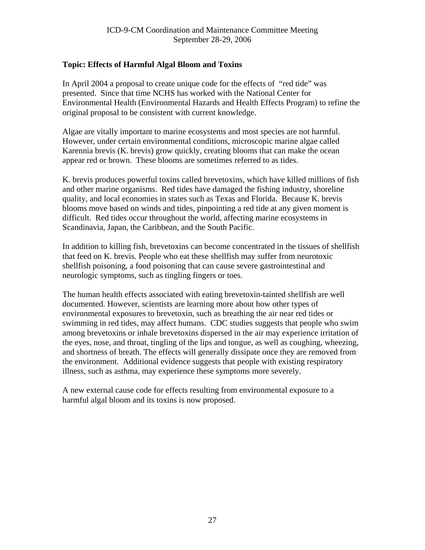# <span id="page-26-0"></span>**Topic: Effects of Harmful Algal Bloom and Toxins**

In April 2004 a proposal to create unique code for the effects of "red tide" was presented. Since that time NCHS has worked with the National Center for Environmental Health (Environmental Hazards and Health Effects Program) to refine the original proposal to be consistent with current knowledge.

Algae are vitally important to marine ecosystems and most species are not harmful. However, under certain environmental conditions, microscopic marine algae called Karennia brevis (K. brevis) grow quickly, creating blooms that can make the ocean appear red or brown. These blooms are sometimes referred to as tides.

K. brevis produces powerful toxins called brevetoxins, which have killed millions of fish and other marine organisms. Red tides have damaged the fishing industry, shoreline quality, and local economies in states such as Texas and Florida. Because K. brevis blooms move based on winds and tides, pinpointing a red tide at any given moment is difficult. Red tides occur throughout the world, affecting marine ecosystems in Scandinavia, Japan, the Caribbean, and the South Pacific.

In addition to killing fish, brevetoxins can become concentrated in the tissues of shellfish that feed on K. brevis. People who eat these shellfish may suffer from neurotoxic shellfish poisoning, a food poisoning that can cause severe gastrointestinal and neurologic symptoms, such as tingling fingers or toes.

The human health effects associated with eating brevetoxin-tainted shellfish are well documented. However, scientists are learning more about how other types of environmental exposures to brevetoxin, such as breathing the air near red tides or swimming in red tides, may affect humans. CDC studies suggests that people who swim among brevetoxins or inhale brevetoxins dispersed in the air may experience irritation of the eyes, nose, and throat, tingling of the lips and tongue, as well as coughing, wheezing, and shortness of breath. The effects will generally dissipate once they are removed from the environment. Additional evidence suggests that people with existing respiratory illness, such as asthma, may experience these symptoms more severely.

A new external cause code for effects resulting from environmental exposure to a harmful algal bloom and its toxins is now proposed.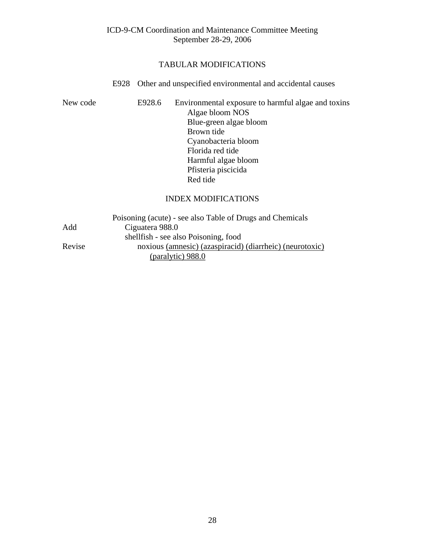#### TABULAR MODIFICATIONS

#### E928 Other and unspecified environmental and accidental causes

New code E928.6 Environmental exposure to harmful algae and toxins Algae bloom NOS Blue-green algae bloom Brown tide Cyanobacteria bloom Florida red tide Harmful algae bloom Pfisteria piscicida Red tide

#### INDEX MODIFICATIONS

|        | Poisoning (acute) - see also Table of Drugs and Chemicals |
|--------|-----------------------------------------------------------|
| Add    | Ciguatera 988.0                                           |
|        | shell fish - see also Poisoning, food                     |
| Revise | noxious (amnesic) (azaspiracid) (diarrheic) (neurotoxic)  |
|        | (paralytic) 988.0                                         |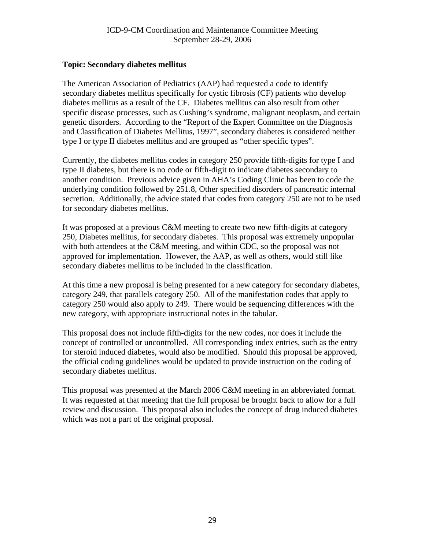# <span id="page-28-0"></span>**Topic: Secondary diabetes mellitus**

The American Association of Pediatrics (AAP) had requested a code to identify secondary diabetes mellitus specifically for cystic fibrosis (CF) patients who develop diabetes mellitus as a result of the CF. Diabetes mellitus can also result from other specific disease processes, such as Cushing's syndrome, malignant neoplasm, and certain genetic disorders. According to the "Report of the Expert Committee on the Diagnosis and Classification of Diabetes Mellitus, 1997", secondary diabetes is considered neither type I or type II diabetes mellitus and are grouped as "other specific types".

Currently, the diabetes mellitus codes in category 250 provide fifth-digits for type I and type II diabetes, but there is no code or fifth-digit to indicate diabetes secondary to another condition. Previous advice given in AHA's Coding Clinic has been to code the underlying condition followed by 251.8, Other specified disorders of pancreatic internal secretion. Additionally, the advice stated that codes from category 250 are not to be used for secondary diabetes mellitus.

It was proposed at a previous C&M meeting to create two new fifth-digits at category 250, Diabetes mellitus, for secondary diabetes. This proposal was extremely unpopular with both attendees at the C&M meeting, and within CDC, so the proposal was not approved for implementation. However, the AAP, as well as others, would still like secondary diabetes mellitus to be included in the classification.

At this time a new proposal is being presented for a new category for secondary diabetes, category 249, that parallels category 250. All of the manifestation codes that apply to category 250 would also apply to 249. There would be sequencing differences with the new category, with appropriate instructional notes in the tabular.

This proposal does not include fifth-digits for the new codes, nor does it include the concept of controlled or uncontrolled. All corresponding index entries, such as the entry for steroid induced diabetes, would also be modified. Should this proposal be approved, the official coding guidelines would be updated to provide instruction on the coding of secondary diabetes mellitus.

This proposal was presented at the March 2006 C&M meeting in an abbreviated format. It was requested at that meeting that the full proposal be brought back to allow for a full review and discussion. This proposal also includes the concept of drug induced diabetes which was not a part of the original proposal.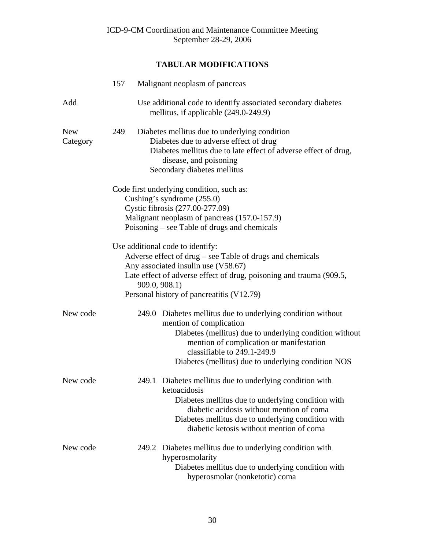|                        | 157 |       | Malignant neoplasm of pancreas                                                                                                                                                                                                                                                      |
|------------------------|-----|-------|-------------------------------------------------------------------------------------------------------------------------------------------------------------------------------------------------------------------------------------------------------------------------------------|
| Add                    |     |       | Use additional code to identify associated secondary diabetes<br>mellitus, if applicable (249.0-249.9)                                                                                                                                                                              |
| <b>New</b><br>Category | 249 |       | Diabetes mellitus due to underlying condition<br>Diabetes due to adverse effect of drug<br>Diabetes mellitus due to late effect of adverse effect of drug,<br>disease, and poisoning<br>Secondary diabetes mellitus                                                                 |
|                        |     |       | Code first underlying condition, such as:<br>Cushing's syndrome (255.0)<br>Cystic fibrosis (277.00-277.09)<br>Malignant neoplasm of pancreas (157.0-157.9)<br>Poisoning – see Table of drugs and chemicals                                                                          |
|                        |     |       | Use additional code to identify:<br>Adverse effect of drug - see Table of drugs and chemicals<br>Any associated insulin use (V58.67)<br>Late effect of adverse effect of drug, poisoning and trauma (909.5,<br>909.0, 908.1)<br>Personal history of pancreatitis (V12.79)           |
| New code               |     |       | 249.0 Diabetes mellitus due to underlying condition without<br>mention of complication<br>Diabetes (mellitus) due to underlying condition without<br>mention of complication or manifestation<br>classifiable to 249.1-249.9<br>Diabetes (mellitus) due to underlying condition NOS |
| New code               |     |       | 249.1 Diabetes mellitus due to underlying condition with<br>ketoacidosis<br>Diabetes mellitus due to underlying condition with<br>diabetic acidosis without mention of coma<br>Diabetes mellitus due to underlying condition with<br>diabetic ketosis without mention of coma       |
| New code               |     | 249.2 | Diabetes mellitus due to underlying condition with<br>hyperosmolarity<br>Diabetes mellitus due to underlying condition with<br>hyperosmolar (nonketotic) coma                                                                                                                       |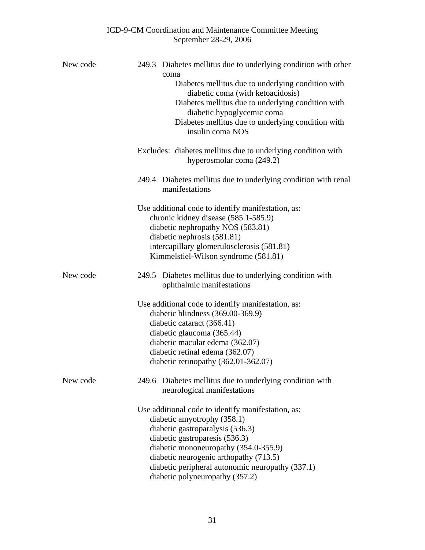| New code | 249.3 Diabetes mellitus due to underlying condition with other<br>coma<br>Diabetes mellitus due to underlying condition with<br>diabetic coma (with ketoacidosis)<br>Diabetes mellitus due to underlying condition with<br>diabetic hypoglycemic coma<br>Diabetes mellitus due to underlying condition with<br>insulin coma NOS   |
|----------|-----------------------------------------------------------------------------------------------------------------------------------------------------------------------------------------------------------------------------------------------------------------------------------------------------------------------------------|
|          | Excludes: diabetes mellitus due to underlying condition with<br>hyperosmolar coma (249.2)                                                                                                                                                                                                                                         |
|          | 249.4 Diabetes mellitus due to underlying condition with renal<br>manifestations                                                                                                                                                                                                                                                  |
|          | Use additional code to identify manifestation, as:<br>chronic kidney disease (585.1-585.9)<br>diabetic nephropathy NOS (583.81)<br>diabetic nephrosis (581.81)<br>intercapillary glomerulosclerosis (581.81)<br>Kimmelstiel-Wilson syndrome (581.81)                                                                              |
| New code | 249.5 Diabetes mellitus due to underlying condition with<br>ophthalmic manifestations                                                                                                                                                                                                                                             |
|          | Use additional code to identify manifestation, as:<br>diabetic blindness (369.00-369.9)<br>diabetic cataract (366.41)<br>diabetic glaucoma (365.44)<br>diabetic macular edema (362.07)<br>diabetic retinal edema (362.07)<br>diabetic retinopathy $(362.01-362.07)$                                                               |
| New code | 249.6 Diabetes mellitus due to underlying condition with<br>neurological manifestations                                                                                                                                                                                                                                           |
|          | Use additional code to identify manifestation, as:<br>diabetic amyotrophy (358.1)<br>diabetic gastroparalysis (536.3)<br>diabetic gastroparesis (536.3)<br>diabetic mononeuropathy (354.0-355.9)<br>diabetic neurogenic arthopathy (713.5)<br>diabetic peripheral autonomic neuropathy (337.1)<br>diabetic polyneuropathy (357.2) |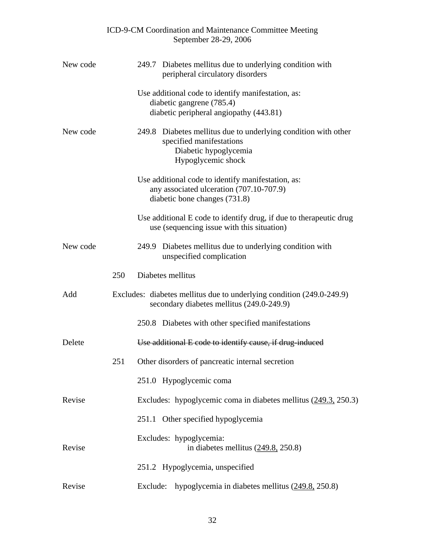|          |     | ICD-9-CM Coordination and Maintenance Committee Meeting<br>September 28-29, 2006                                                             |
|----------|-----|----------------------------------------------------------------------------------------------------------------------------------------------|
| New code |     | Diabetes mellitus due to underlying condition with<br>249.7<br>peripheral circulatory disorders                                              |
|          |     | Use additional code to identify manifestation, as:<br>diabetic gangrene (785.4)<br>diabetic peripheral angiopathy (443.81)                   |
| New code |     | Diabetes mellitus due to underlying condition with other<br>249.8<br>specified manifestations<br>Diabetic hypoglycemia<br>Hypoglycemic shock |
|          |     | Use additional code to identify manifestation, as:<br>any associated ulceration (707.10-707.9)<br>diabetic bone changes (731.8)              |
|          |     | Use additional E code to identify drug, if due to therapeutic drug<br>use (sequencing issue with this situation)                             |
| New code |     | 249.9 Diabetes mellitus due to underlying condition with<br>unspecified complication                                                         |
|          | 250 | Diabetes mellitus                                                                                                                            |
| Add      |     | Excludes: diabetes mellitus due to underlying condition (249.0-249.9)<br>secondary diabetes mellitus (249.0-249.9)                           |
|          |     | 250.8 Diabetes with other specified manifestations                                                                                           |
| Delete   |     | Use additional E code to identify cause, if drug-induced                                                                                     |
|          | 251 | Other disorders of pancreatic internal secretion                                                                                             |
|          |     | 251.0 Hypoglycemic coma                                                                                                                      |
| Revise   |     | Excludes: hypoglycemic coma in diabetes mellitus (249.3, 250.3)                                                                              |
|          |     | Other specified hypoglycemia<br>251.1                                                                                                        |
| Revise   |     | Excludes: hypoglycemia:<br>in diabetes mellitus $(249.8, 250.8)$                                                                             |
|          |     | 251.2 Hypoglycemia, unspecified                                                                                                              |
| Revise   |     | hypoglycemia in diabetes mellitus $(249.8, 250.8)$<br>Exclude:                                                                               |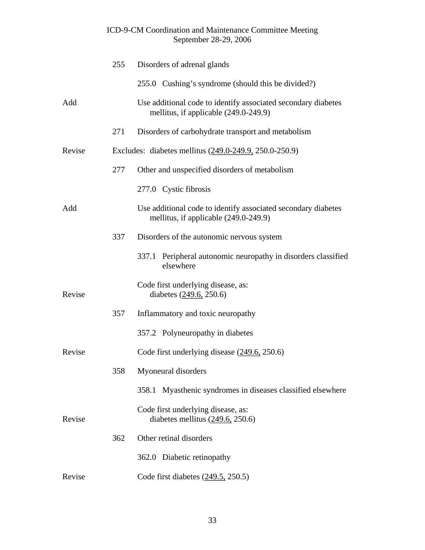|        | 255 | Disorders of adrenal glands                                                                            |
|--------|-----|--------------------------------------------------------------------------------------------------------|
|        |     | 255.0 Cushing's syndrome (should this be divided?)                                                     |
| Add    |     | Use additional code to identify associated secondary diabetes<br>mellitus, if applicable (249.0-249.9) |
|        | 271 | Disorders of carbohydrate transport and metabolism                                                     |
| Revise |     | Excludes: diabetes mellitus (249.0-249.9, 250.0-250.9)                                                 |
|        | 277 | Other and unspecified disorders of metabolism                                                          |
|        |     | 277.0 Cystic fibrosis                                                                                  |
| Add    |     | Use additional code to identify associated secondary diabetes<br>mellitus, if applicable (249.0-249.9) |
|        | 337 | Disorders of the autonomic nervous system                                                              |
|        |     | 337.1 Peripheral autonomic neuropathy in disorders classified<br>elsewhere                             |
| Revise |     | Code first underlying disease, as:<br>diabetes (249.6, 250.6)                                          |
|        | 357 | Inflammatory and toxic neuropathy                                                                      |
|        |     | 357.2 Polyneuropathy in diabetes                                                                       |
| Revise |     | Code first underlying disease $(249.6, 250.6)$                                                         |
|        | 358 | Myoneural disorders                                                                                    |
|        |     | 358.1 Myasthenic syndromes in diseases classified elsewhere                                            |
| Revise |     | Code first underlying disease, as:<br>diabetes mellitus $(249.6, 250.6)$                               |
|        | 362 | Other retinal disorders                                                                                |
|        |     | 362.0 Diabetic retinopathy                                                                             |
| Revise |     | Code first diabetes $(249.5, 250.5)$                                                                   |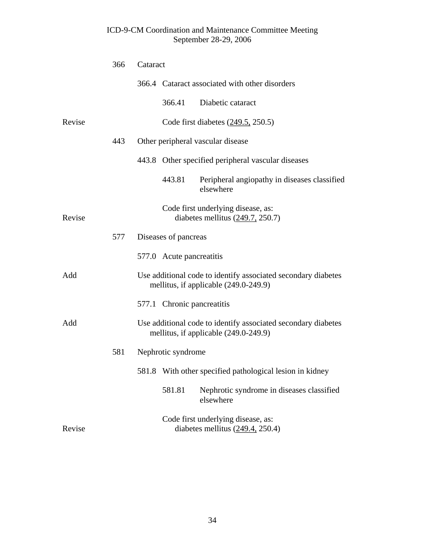|        | 366 | Cataract |                            |                                                                                                        |
|--------|-----|----------|----------------------------|--------------------------------------------------------------------------------------------------------|
|        |     |          |                            | 366.4 Cataract associated with other disorders                                                         |
|        |     |          | 366.41                     | Diabetic cataract                                                                                      |
| Revise |     |          |                            | Code first diabetes $(249.5, 250.5)$                                                                   |
|        | 443 |          |                            | Other peripheral vascular disease                                                                      |
|        |     |          |                            | 443.8 Other specified peripheral vascular diseases                                                     |
|        |     |          | 443.81                     | Peripheral angiopathy in diseases classified<br>elsewhere                                              |
| Revise |     |          |                            | Code first underlying disease, as:<br>diabetes mellitus $(249.7, 250.7)$                               |
|        | 577 |          | Diseases of pancreas       |                                                                                                        |
|        |     |          | 577.0 Acute pancreatitis   |                                                                                                        |
| Add    |     |          |                            | Use additional code to identify associated secondary diabetes<br>mellitus, if applicable (249.0-249.9) |
|        |     |          | 577.1 Chronic pancreatitis |                                                                                                        |
| Add    |     |          |                            | Use additional code to identify associated secondary diabetes<br>mellitus, if applicable (249.0-249.9) |
|        | 581 |          | Nephrotic syndrome         |                                                                                                        |
|        |     |          |                            | 581.8 With other specified pathological lesion in kidney                                               |
|        |     |          | 581.81                     | Nephrotic syndrome in diseases classified<br>elsewhere                                                 |
| Revise |     |          |                            | Code first underlying disease, as:<br>diabetes mellitus $(249.4, 250.4)$                               |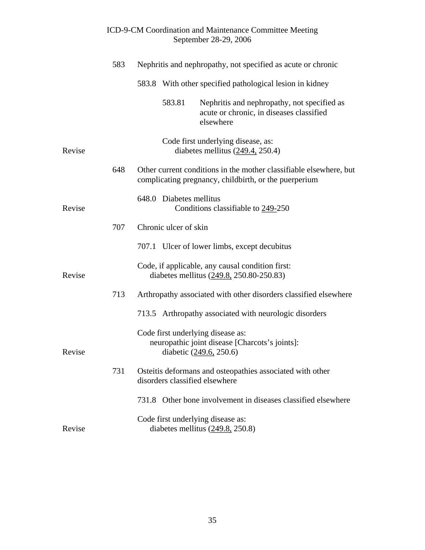|        |     |                                                              |                         | $\text{Jc}(1)$                                                                                                              |
|--------|-----|--------------------------------------------------------------|-------------------------|-----------------------------------------------------------------------------------------------------------------------------|
|        | 583 | Nephritis and nephropathy, not specified as acute or chronic |                         |                                                                                                                             |
|        |     |                                                              |                         | 583.8 With other specified pathological lesion in kidney                                                                    |
|        |     |                                                              | 583.81                  | Nephritis and nephropathy, not specified as<br>acute or chronic, in diseases classified<br>elsewhere                        |
| Revise |     |                                                              |                         | Code first underlying disease, as:<br>diabetes mellitus $(249.4, 250.4)$                                                    |
|        | 648 |                                                              |                         | Other current conditions in the mother classifiable elsewhere, but<br>complicating pregnancy, childbirth, or the puerperium |
| Revise |     |                                                              | 648.0 Diabetes mellitus | Conditions classifiable to 249-250                                                                                          |
|        | 707 |                                                              | Chronic ulcer of skin   |                                                                                                                             |
|        |     |                                                              |                         | 707.1 Ulcer of lower limbs, except decubitus                                                                                |
| Revise |     |                                                              |                         | Code, if applicable, any causal condition first:<br>diabetes mellitus (249.8, 250.80-250.83)                                |
|        | 713 |                                                              |                         | Arthropathy associated with other disorders classified elsewhere                                                            |
|        |     |                                                              |                         | 713.5 Arthropathy associated with neurologic disorders                                                                      |
| Revise |     |                                                              |                         | Code first underlying disease as:<br>neuropathic joint disease [Charcots's joints]:<br>diabetic $(249.6, 250.6)$            |
|        | 731 |                                                              |                         | Osteitis deformans and osteopathies associated with other<br>disorders classified elsewhere                                 |
|        |     |                                                              |                         | 731.8 Other bone involvement in diseases classified elsewhere                                                               |
| Revise |     |                                                              |                         | Code first underlying disease as:<br>diabetes mellitus (249.8, 250.8)                                                       |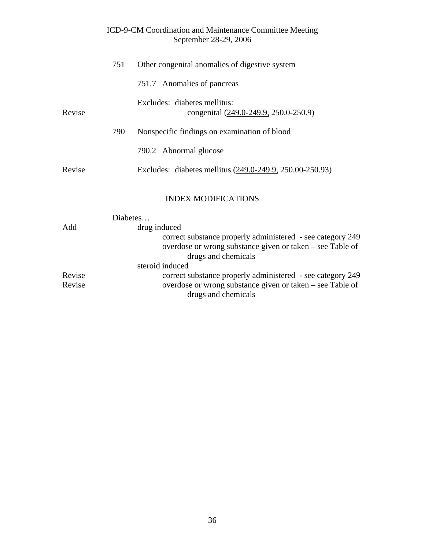|        | 751      | Other congenital anomalies of digestive system                                                                                                                 |
|--------|----------|----------------------------------------------------------------------------------------------------------------------------------------------------------------|
|        |          | 751.7 Anomalies of pancreas                                                                                                                                    |
| Revise |          | Excludes: diabetes mellitus:<br>congenital (249.0-249.9, 250.0-250.9)                                                                                          |
|        | 790      | Nonspecific findings on examination of blood                                                                                                                   |
|        |          | 790.2 Abnormal glucose                                                                                                                                         |
| Revise |          | Excludes: diabetes mellitus (249.0-249.9, 250.00-250.93)                                                                                                       |
|        |          | <b>INDEX MODIFICATIONS</b>                                                                                                                                     |
|        | Diabetes |                                                                                                                                                                |
| Add    |          | drug induced<br>correct substance properly administered - see category 249<br>overdose or wrong substance given or taken – see Table of<br>drugs and chemicals |

steroid induced<br>Revise correct s

Revise correct substance properly administered - see category 249<br>Revise overdose or wrong substance given or taken – see Table of overdose or wrong substance given or taken – see Table of

drugs and chemicals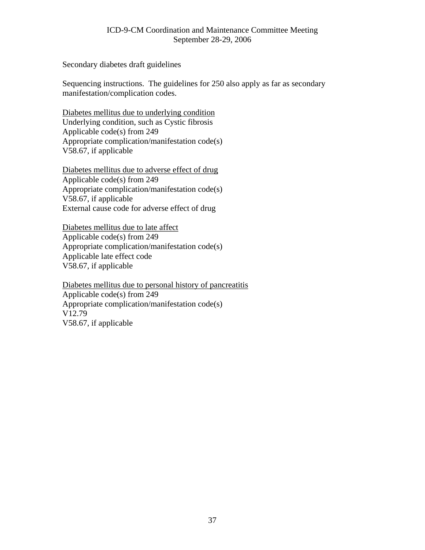Secondary diabetes draft guidelines

Sequencing instructions. The guidelines for 250 also apply as far as secondary manifestation/complication codes.

Diabetes mellitus due to underlying condition Underlying condition, such as Cystic fibrosis Applicable code(s) from 249 Appropriate complication/manifestation code(s) V58.67, if applicable

Diabetes mellitus due to adverse effect of drug Applicable code(s) from 249 Appropriate complication/manifestation code(s) V58.67, if applicable External cause code for adverse effect of drug

Diabetes mellitus due to late affect Applicable code(s) from 249 Appropriate complication/manifestation code(s) Applicable late effect code V58.67, if applicable

Diabetes mellitus due to personal history of pancreatitis Applicable code(s) from 249 Appropriate complication/manifestation code(s) V12.79 V58.67, if applicable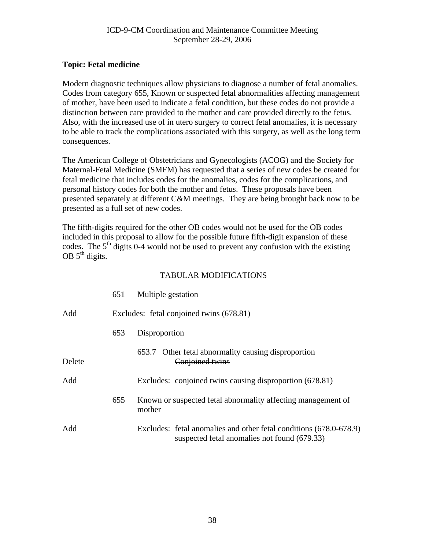### <span id="page-37-0"></span>**Topic: Fetal medicine**

Modern diagnostic techniques allow physicians to diagnose a number of fetal anomalies. Codes from category 655, Known or suspected fetal abnormalities affecting management of mother, have been used to indicate a fetal condition, but these codes do not provide a distinction between care provided to the mother and care provided directly to the fetus. Also, with the increased use of in utero surgery to correct fetal anomalies, it is necessary to be able to track the complications associated with this surgery, as well as the long term consequences.

The American College of Obstetricians and Gynecologists (ACOG) and the Society for Maternal-Fetal Medicine (SMFM) has requested that a series of new codes be created for fetal medicine that includes codes for the anomalies, codes for the complications, and personal history codes for both the mother and fetus. These proposals have been presented separately at different C&M meetings. They are being brought back now to be presented as a full set of new codes.

The fifth-digits required for the other OB codes would not be used for the OB codes included in this proposal to allow for the possible future fifth-digit expansion of these codes. The  $5<sup>th</sup>$  digits 0-4 would not be used to prevent any confusion with the existing OB  $5<sup>th</sup>$  digits.

|        | 651 | Multiple gestation                                                                                                 |
|--------|-----|--------------------------------------------------------------------------------------------------------------------|
| Add    |     | Excludes: fetal conjoined twins (678.81)                                                                           |
|        | 653 | Disproportion                                                                                                      |
| Delete |     | 653.7 Other fetal abnormality causing disproportion<br>Conjoined twins                                             |
| Add    |     | Excludes: conjoined twins causing disproportion (678.81)                                                           |
|        | 655 | Known or suspected fetal abnormality affecting management of<br>mother                                             |
| Add    |     | Excludes: fetal anomalies and other fetal conditions (678.0-678.9)<br>suspected fetal anomalies not found (679.33) |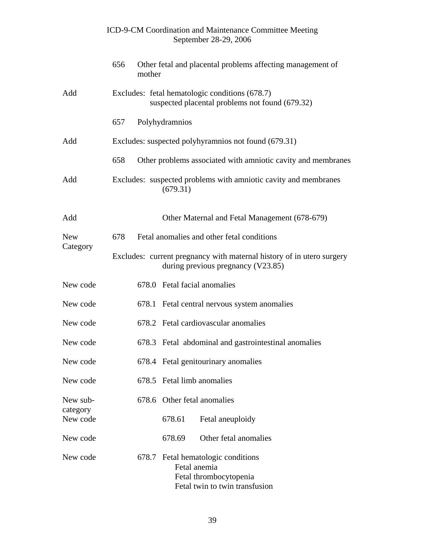|                        | ICD-9-CM Coordination and Maintenance Committee Meeting<br>September 28-29, 2006                               |
|------------------------|----------------------------------------------------------------------------------------------------------------|
|                        | 656<br>Other fetal and placental problems affecting management of<br>mother                                    |
| Add                    | Excludes: fetal hematologic conditions (678.7)<br>suspected placental problems not found (679.32)              |
|                        | Polyhydramnios<br>657                                                                                          |
| Add                    | Excludes: suspected polyhyramnios not found (679.31)                                                           |
|                        | 658<br>Other problems associated with amniotic cavity and membranes                                            |
| Add                    | Excludes: suspected problems with amniotic cavity and membranes<br>(679.31)                                    |
| Add                    | Other Maternal and Fetal Management (678-679)                                                                  |
| <b>New</b><br>Category | Fetal anomalies and other fetal conditions<br>678                                                              |
|                        | Excludes: current pregnancy with maternal history of in utero surgery<br>during previous pregnancy (V23.85)    |
| New code               | 678.0 Fetal facial anomalies                                                                                   |
| New code               | 678.1 Fetal central nervous system anomalies                                                                   |
| New code               | 678.2 Fetal cardiovascular anomalies                                                                           |
| New code               | 678.3 Fetal abdominal and gastrointestinal anomalies                                                           |
| New code               | 678.4 Fetal genitourinary anomalies                                                                            |
| New code               | 678.5 Fetal limb anomalies                                                                                     |
| New sub-               | 678.6 Other fetal anomalies                                                                                    |
| category<br>New code   | 678.61<br>Fetal aneuploidy                                                                                     |
| New code               | Other fetal anomalies<br>678.69                                                                                |
| New code               | 678.7 Fetal hematologic conditions<br>Fetal anemia<br>Fetal thrombocytopenia<br>Fetal twin to twin transfusion |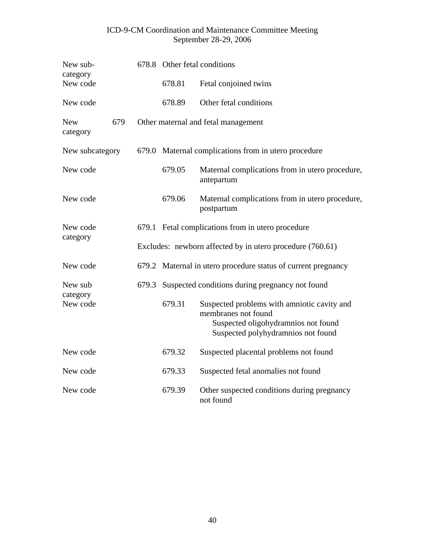| New sub-<br>category          |       |        | 678.8 Other fetal conditions                                                                                                                    |
|-------------------------------|-------|--------|-------------------------------------------------------------------------------------------------------------------------------------------------|
| New code                      |       | 678.81 | Fetal conjoined twins                                                                                                                           |
| New code                      |       | 678.89 | Other fetal conditions                                                                                                                          |
| 679<br><b>New</b><br>category |       |        | Other maternal and fetal management                                                                                                             |
| New subcategory               |       |        | 679.0 Maternal complications from in utero procedure                                                                                            |
| New code                      |       | 679.05 | Maternal complications from in utero procedure,<br>antepartum                                                                                   |
| New code                      |       | 679.06 | Maternal complications from in utero procedure,<br>postpartum                                                                                   |
| New code<br>category          |       |        | 679.1 Fetal complications from in utero procedure                                                                                               |
|                               |       |        | Excludes: newborn affected by in utero procedure (760.61)                                                                                       |
| New code                      |       |        | 679.2 Maternal in utero procedure status of current pregnancy                                                                                   |
| New sub                       | 679.3 |        | Suspected conditions during pregnancy not found                                                                                                 |
| category<br>New code          |       | 679.31 | Suspected problems with amniotic cavity and<br>membranes not found<br>Suspected oligohydramnios not found<br>Suspected polyhydramnios not found |
| New code                      |       | 679.32 | Suspected placental problems not found                                                                                                          |
| New code                      |       | 679.33 | Suspected fetal anomalies not found                                                                                                             |
| New code                      |       | 679.39 | Other suspected conditions during pregnancy<br>not found                                                                                        |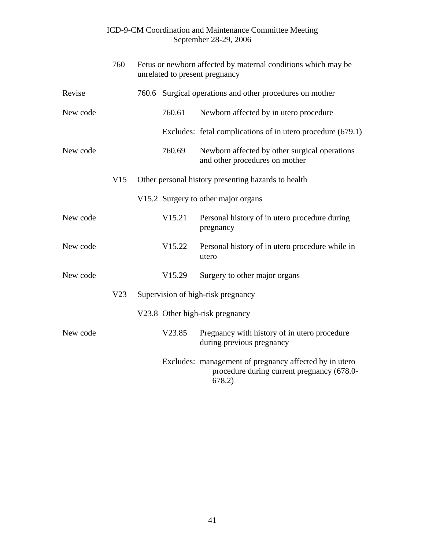|          | 760 | Fetus or newborn affected by maternal conditions which may be<br>unrelated to present pregnancy |                                                                                                                |
|----------|-----|-------------------------------------------------------------------------------------------------|----------------------------------------------------------------------------------------------------------------|
| Revise   |     |                                                                                                 | 760.6 Surgical operations and other procedures on mother                                                       |
| New code |     | 760.61                                                                                          | Newborn affected by in utero procedure                                                                         |
|          |     |                                                                                                 | Excludes: fetal complications of in utero procedure (679.1)                                                    |
| New code |     | 760.69                                                                                          | Newborn affected by other surgical operations<br>and other procedures on mother                                |
|          | V15 |                                                                                                 | Other personal history presenting hazards to health                                                            |
|          |     |                                                                                                 | V15.2 Surgery to other major organs                                                                            |
| New code |     | V15.21                                                                                          | Personal history of in utero procedure during<br>pregnancy                                                     |
| New code |     | V15.22                                                                                          | Personal history of in utero procedure while in<br>utero                                                       |
| New code |     | V <sub>15.29</sub>                                                                              | Surgery to other major organs                                                                                  |
|          | V23 |                                                                                                 | Supervision of high-risk pregnancy                                                                             |
|          |     |                                                                                                 | V23.8 Other high-risk pregnancy                                                                                |
| New code |     | V23.85                                                                                          | Pregnancy with history of in utero procedure<br>during previous pregnancy                                      |
|          |     |                                                                                                 | Excludes: management of pregnancy affected by in utero<br>procedure during current pregnancy (678.0-<br>678.2) |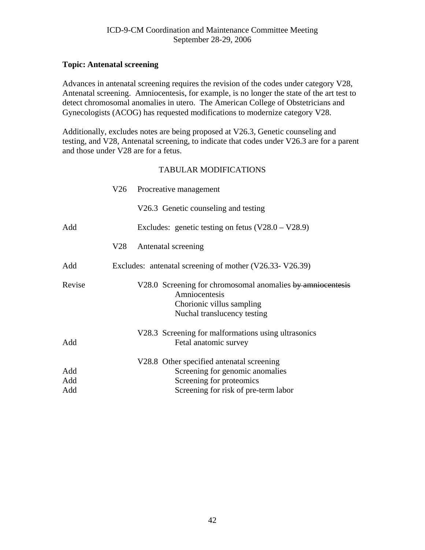# <span id="page-41-0"></span>**Topic: Antenatal screening**

Advances in antenatal screening requires the revision of the codes under category V28, Antenatal screening. Amniocentesis, for example, is no longer the state of the art test to detect chromosomal anomalies in utero. The American College of Obstetricians and Gynecologists (ACOG) has requested modifications to modernize category V28.

Additionally, excludes notes are being proposed at V26.3, Genetic counseling and testing, and V28, Antenatal screening, to indicate that codes under V26.3 are for a parent and those under V28 are for a fetus.

|                   |     | V26 Procreative management                                                                                                                       |
|-------------------|-----|--------------------------------------------------------------------------------------------------------------------------------------------------|
|                   |     | V26.3 Genetic counseling and testing                                                                                                             |
| Add               |     | Excludes: genetic testing on fetus $(V28.0 - V28.9)$                                                                                             |
|                   | V28 | Antenatal screening                                                                                                                              |
| Add               |     | Excludes: antenatal screening of mother (V26.33-V26.39)                                                                                          |
| Revise            |     | V28.0 Screening for chromosomal anomalies by amniocentesis<br>Amniocentesis<br>Chorionic villus sampling<br>Nuchal translucency testing          |
| Add               |     | V28.3 Screening for malformations using ultrasonics<br>Fetal anatomic survey                                                                     |
| Add<br>Add<br>Add |     | V28.8 Other specified antenatal screening<br>Screening for genomic anomalies<br>Screening for proteomics<br>Screening for risk of pre-term labor |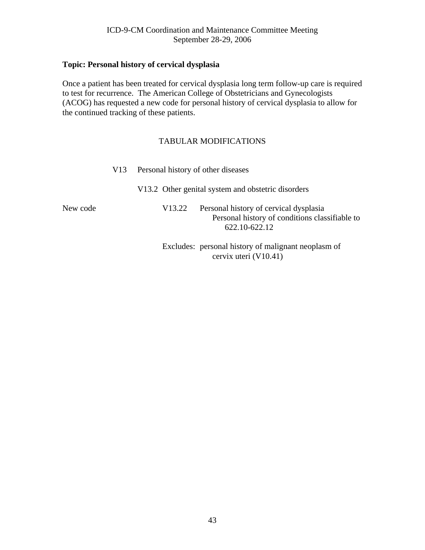# <span id="page-42-0"></span>**Topic: Personal history of cervical dysplasia**

Once a patient has been treated for cervical dysplasia long term follow-up care is required to test for recurrence. The American College of Obstetricians and Gynecologists (ACOG) has requested a new code for personal history of cervical dysplasia to allow for the continued tracking of these patients.

### TABULAR MODIFICATIONS

|          | V <sub>13</sub> |        | Personal history of other diseases                                                                        |  |  |
|----------|-----------------|--------|-----------------------------------------------------------------------------------------------------------|--|--|
|          |                 |        | V13.2 Other genital system and obstetric disorders                                                        |  |  |
| New code |                 | V13.22 | Personal history of cervical dysplasia<br>Personal history of conditions classifiable to<br>622.10-622.12 |  |  |
|          |                 |        | Excludes: personal history of malignant neoplasm of                                                       |  |  |

cervix uteri (V10.41)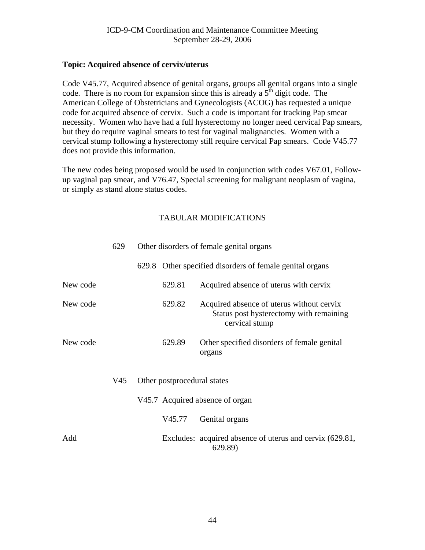#### <span id="page-43-0"></span>**Topic: Acquired absence of cervix/uterus**

Code V45.77, Acquired absence of genital organs, groups all genital organs into a single code. There is no room for expansion since this is already a  $5<sup>th</sup>$  digit code. The American College of Obstetricians and Gynecologists (ACOG) has requested a unique code for acquired absence of cervix. Such a code is important for tracking Pap smear necessity. Women who have had a full hysterectomy no longer need cervical Pap smears, but they do require vaginal smears to test for vaginal malignancies. Women with a cervical stump following a hysterectomy still require cervical Pap smears. Code V45.77 does not provide this information.

The new codes being proposed would be used in conjunction with codes V67.01, Followup vaginal pap smear, and V76.47, Special screening for malignant neoplasm of vagina, or simply as stand alone status codes.

|          | 629 | Other disorders of female genital organs |        |                                                                                                        |
|----------|-----|------------------------------------------|--------|--------------------------------------------------------------------------------------------------------|
|          |     |                                          |        | 629.8 Other specified disorders of female genital organs                                               |
| New code |     |                                          | 629.81 | Acquired absence of uterus with cervix                                                                 |
| New code |     |                                          | 629.82 | Acquired absence of uterus without cervix<br>Status post hysterectomy with remaining<br>cervical stump |
| New code |     |                                          | 629.89 | Other specified disorders of female genital<br>organs                                                  |
|          | V45 | Other postprocedural states              |        |                                                                                                        |
|          |     |                                          |        | V45.7 Acquired absence of organ                                                                        |
|          |     |                                          | V45.77 | Genital organs                                                                                         |
| Add      |     |                                          |        | Excludes: acquired absence of uterus and cervix (629.81,<br>629.89)                                    |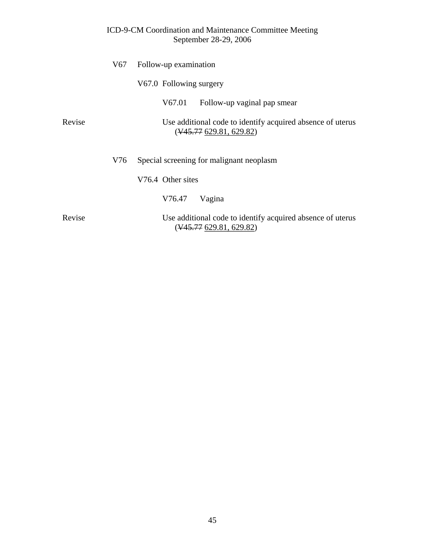|        | V67 | Follow-up examination                                                                           |  |  |
|--------|-----|-------------------------------------------------------------------------------------------------|--|--|
|        |     | V67.0 Following surgery                                                                         |  |  |
|        |     | V67.01<br>Follow-up vaginal pap smear                                                           |  |  |
| Revise |     | Use additional code to identify acquired absence of uterus<br>$(\frac{145.77629.81}{629.82})$   |  |  |
|        | V76 | Special screening for malignant neoplasm                                                        |  |  |
|        |     | V76.4 Other sites                                                                               |  |  |
|        |     | V76.47<br>Vagina                                                                                |  |  |
| Revise |     | Use additional code to identify acquired absence of uterus<br>$(\frac{145.77}{629.81}, 629.82)$ |  |  |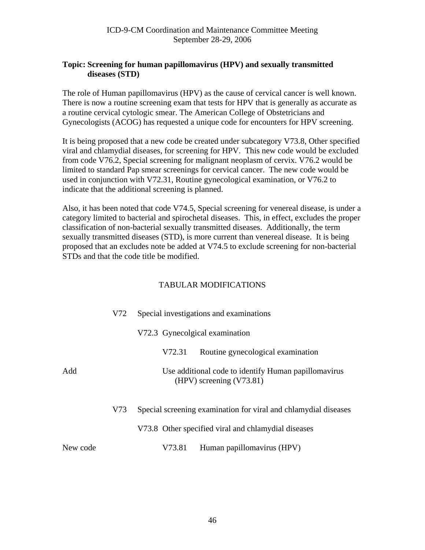# <span id="page-45-0"></span>**Topic: Screening for human papillomavirus (HPV) and sexually transmitted diseases (STD)**

The role of Human papillomavirus (HPV) as the cause of cervical cancer is well known. There is now a routine screening exam that tests for HPV that is generally as accurate as a routine cervical cytologic smear. The American College of Obstetricians and Gynecologists (ACOG) has requested a unique code for encounters for HPV screening.

It is being proposed that a new code be created under subcategory V73.8, Other specified viral and chlamydial diseases, for screening for HPV. This new code would be excluded from code V76.2, Special screening for malignant neoplasm of cervix. V76.2 would be limited to standard Pap smear screenings for cervical cancer. The new code would be used in conjunction with V72.31, Routine gynecological examination, or V76.2 to indicate that the additional screening is planned.

Also, it has been noted that code V74.5, Special screening for venereal disease, is under a category limited to bacterial and spirochetal diseases. This, in effect, excludes the proper classification of non-bacterial sexually transmitted diseases. Additionally, the term sexually transmitted diseases (STD), is more current than venereal disease. It is being proposed that an excludes note be added at V74.5 to exclude screening for non-bacterial STDs and that the code title be modified.

|          | V72 | Special investigations and examinations                                          |  |  |
|----------|-----|----------------------------------------------------------------------------------|--|--|
|          |     | V72.3 Gynecolgical examination                                                   |  |  |
|          |     | Routine gynecological examination<br>V72.31                                      |  |  |
| Add      |     | Use additional code to identify Human papillomavirus<br>(HPV) screening (V73.81) |  |  |
|          | V73 | Special screening examination for viral and chlamydial diseases                  |  |  |
|          |     | V73.8 Other specified viral and chlamydial diseases                              |  |  |
| New code |     | Human papillomavirus (HPV)<br>V73.81                                             |  |  |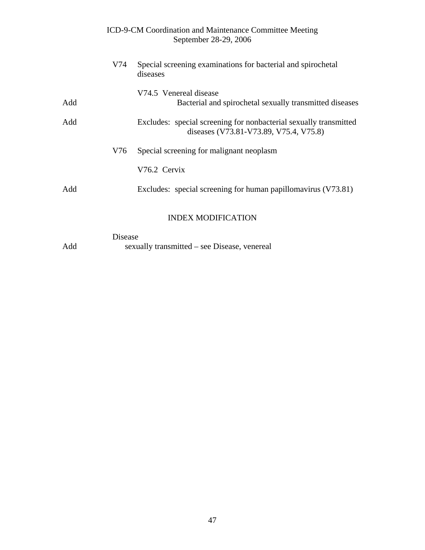|     |     | ICD-9-CM Coordination and Maintenance Committee Meeting<br>September 28-29, 2006                            |
|-----|-----|-------------------------------------------------------------------------------------------------------------|
|     | V74 | Special screening examinations for bacterial and spirochetal<br>diseases                                    |
| Add |     | V74.5 Venereal disease<br>Bacterial and spirochetal sexually transmitted diseases                           |
| Add |     | Excludes: special screening for nonbacterial sexually transmitted<br>diseases (V73.81-V73.89, V75.4, V75.8) |
|     | V76 | Special screening for malignant neoplasm                                                                    |
|     |     | V76.2 Cervix                                                                                                |
| Add |     | Excludes: special screening for human papillomavirus (V73.81)                                               |
|     |     | <b>INDEX MODIFICATION</b>                                                                                   |
|     |     |                                                                                                             |

Disease Add sexually transmitted – see Disease, venereal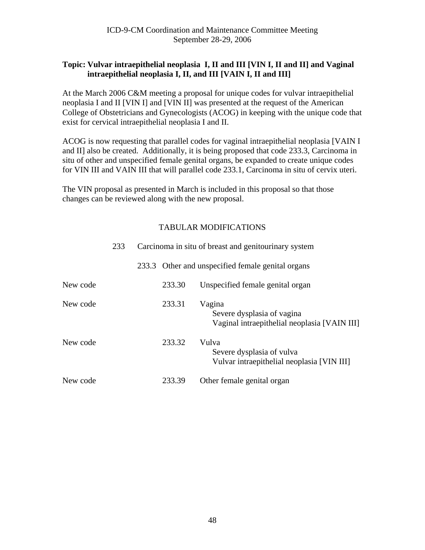# <span id="page-47-0"></span>**Topic: Vulvar intraepithelial neoplasia I, II and III [VIN I, II and II] and Vaginal intraepithelial neoplasia I, II, and III [VAIN I, II and III]**

At the March 2006 C&M meeting a proposal for unique codes for vulvar intraepithelial neoplasia I and II [VIN I] and [VIN II] was presented at the request of the American College of Obstetricians and Gynecologists (ACOG) in keeping with the unique code that exist for cervical intraepithelial neoplasia I and II.

ACOG is now requesting that parallel codes for vaginal intraepithelial neoplasia [VAIN I and II] also be created. Additionally, it is being proposed that code 233.3, Carcinoma in situ of other and unspecified female genital organs, be expanded to create unique codes for VIN III and VAIN III that will parallel code 233.1, Carcinoma in situ of cervix uteri.

The VIN proposal as presented in March is included in this proposal so that those changes can be reviewed along with the new proposal.

|          | 233 |       |        | Carcinoma in situ of breast and genitourinary system                                 |
|----------|-----|-------|--------|--------------------------------------------------------------------------------------|
|          |     | 233.3 |        | Other and unspecified female genital organs                                          |
| New code |     |       | 233.30 | Unspecified female genital organ                                                     |
| New code |     |       | 233.31 | Vagina<br>Severe dysplasia of vagina<br>Vaginal intraepithelial neoplasia [VAIN III] |
| New code |     |       | 233.32 | Vulva<br>Severe dysplasia of vulva<br>Vulvar intraepithelial neoplasia [VIN III]     |
| New code |     |       | 233.39 | Other female genital organ                                                           |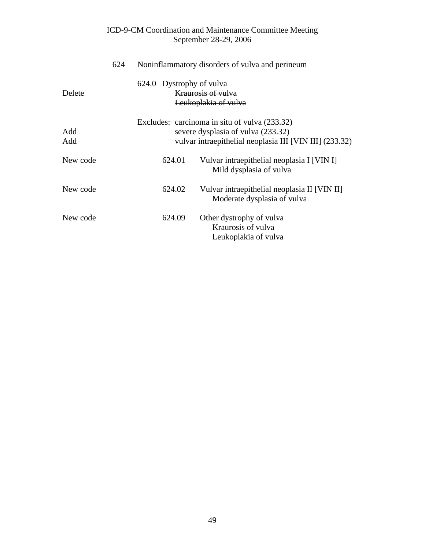|          | 624 |                          | Noninflammatory disorders of vulva and perineum                             |
|----------|-----|--------------------------|-----------------------------------------------------------------------------|
|          |     | 624.0 Dystrophy of vulva |                                                                             |
| Delete   |     |                          | <b>Kraurosis of vulva</b>                                                   |
|          |     |                          | Leukoplakia of vulva                                                        |
|          |     |                          | Excludes: carcinoma in situ of vulva (233.32)                               |
| Add      |     |                          | severe dysplasia of vulva (233.32)                                          |
| Add      |     |                          | vulvar intraepithelial neoplasia III [VIN III] (233.32)                     |
| New code |     | 624.01                   | Vulvar intraepithelial neoplasia I [VIN I]<br>Mild dysplasia of vulva       |
| New code |     | 624.02                   | Vulvar intraepithelial neoplasia II [VIN II]<br>Moderate dysplasia of vulva |
| New code |     | 624.09                   | Other dystrophy of vulva<br>Kraurosis of vulva<br>Leukoplakia of vulva      |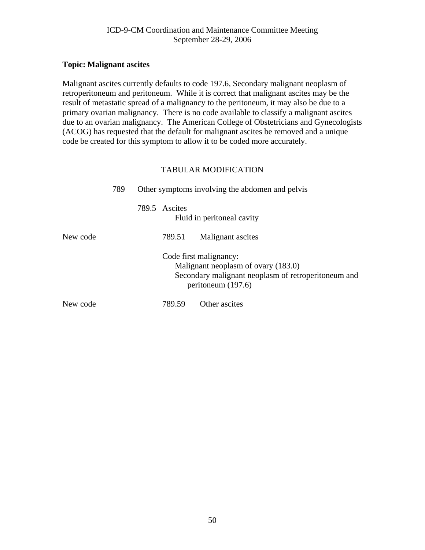# <span id="page-49-0"></span>**Topic: Malignant ascites**

Malignant ascites currently defaults to code 197.6, Secondary malignant neoplasm of retroperitoneum and peritoneum. While it is correct that malignant ascites may be the result of metastatic spread of a malignancy to the peritoneum, it may also be due to a primary ovarian malignancy. There is no code available to classify a malignant ascites due to an ovarian malignancy. The American College of Obstetricians and Gynecologists (ACOG) has requested that the default for malignant ascites be removed and a unique code be created for this symptom to allow it to be coded more accurately.

|          | 789 | Other symptoms involving the abdomen and pelvis |                                                                                                                                              |  |
|----------|-----|-------------------------------------------------|----------------------------------------------------------------------------------------------------------------------------------------------|--|
|          |     | 789.5 Ascites                                   | Fluid in peritoneal cavity                                                                                                                   |  |
| New code |     | 789.51                                          | Malignant ascites                                                                                                                            |  |
|          |     |                                                 | Code first malignancy:<br>Malignant neoplasm of ovary (183.0)<br>Secondary malignant neoplasm of retroperitoneum and<br>peritoneum $(197.6)$ |  |
| New code |     | 789.59                                          | Other ascites                                                                                                                                |  |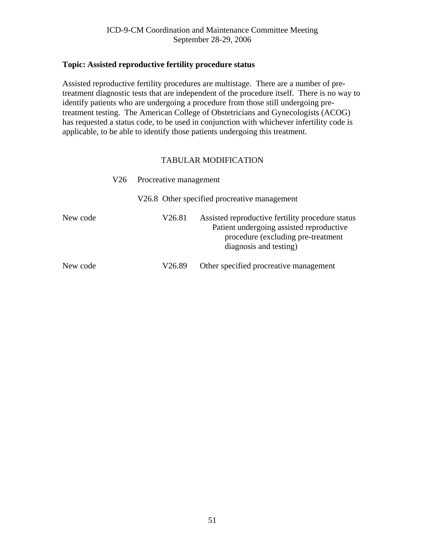# <span id="page-50-0"></span>**Topic: Assisted reproductive fertility procedure status**

Assisted reproductive fertility procedures are multistage. There are a number of pretreatment diagnostic tests that are independent of the procedure itself. There is no way to identify patients who are undergoing a procedure from those still undergoing pretreatment testing. The American College of Obstetricians and Gynecologists (ACOG) has requested a status code, to be used in conjunction with whichever infertility code is applicable, to be able to identify those patients undergoing this treatment.

|          | V26. | Procreative management<br>V26.8 Other specified procreative management |                                                                                                                                                               |  |  |
|----------|------|------------------------------------------------------------------------|---------------------------------------------------------------------------------------------------------------------------------------------------------------|--|--|
|          |      |                                                                        |                                                                                                                                                               |  |  |
| New code |      | V26.81                                                                 | Assisted reproductive fertility procedure status<br>Patient undergoing assisted reproductive<br>procedure (excluding pre-treatment)<br>diagnosis and testing) |  |  |
| New code |      | V26.89                                                                 | Other specified procreative management                                                                                                                        |  |  |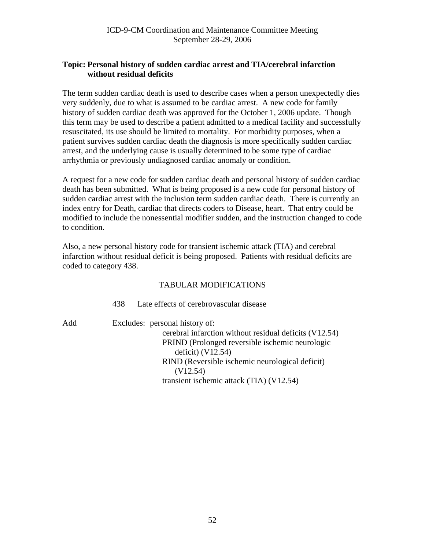# <span id="page-51-0"></span>**Topic: Personal history of sudden cardiac arrest and TIA/cerebral infarction without residual deficits**

The term sudden cardiac death is used to describe cases when a person unexpectedly dies very suddenly, due to what is assumed to be cardiac arrest. A new code for family history of sudden cardiac death was approved for the October 1, 2006 update. Though this term may be used to describe a patient admitted to a medical facility and successfully resuscitated, its use should be limited to mortality. For morbidity purposes, when a patient survives sudden cardiac death the diagnosis is more specifically sudden cardiac arrest, and the underlying cause is usually determined to be some type of cardiac arrhythmia or previously undiagnosed cardiac anomaly or condition.

A request for a new code for sudden cardiac death and personal history of sudden cardiac death has been submitted. What is being proposed is a new code for personal history of sudden cardiac arrest with the inclusion term sudden cardiac death. There is currently an index entry for Death, cardiac that directs coders to Disease, heart. That entry could be modified to include the nonessential modifier sudden, and the instruction changed to code to condition.

Also, a new personal history code for transient ischemic attack (TIA) and cerebral infarction without residual deficit is being proposed. Patients with residual deficits are coded to category 438.

# TABULAR MODIFICATIONS

438 Late effects of cerebrovascular disease

Add Excludes: personal history of:

 cerebral infarction without residual deficits (V12.54) PRIND (Prolonged reversible ischemic neurologic deficit) (V12.54) RIND (Reversible ischemic neurological deficit) (V12.54) transient ischemic attack (TIA) (V12.54)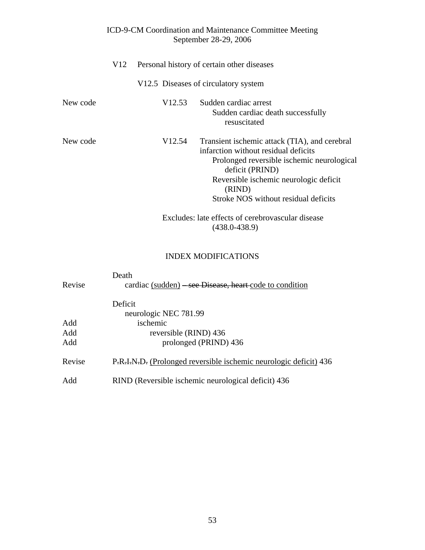|          | V12 |        | Personal history of certain other diseases                                                                                                                                                                                                         |  |  |
|----------|-----|--------|----------------------------------------------------------------------------------------------------------------------------------------------------------------------------------------------------------------------------------------------------|--|--|
|          |     |        | V12.5 Diseases of circulatory system                                                                                                                                                                                                               |  |  |
| New code |     | V12.53 | Sudden cardiac arrest<br>Sudden cardiac death successfully<br>resuscitated                                                                                                                                                                         |  |  |
| New code |     | V12.54 | Transient ischemic attack (TIA), and cerebral<br>infarction without residual deficits<br>Prolonged reversible ischemic neurological<br>deficit (PRIND)<br>Reversible ischemic neurologic deficit<br>(RIND)<br>Stroke NOS without residual deficits |  |  |
|          |     |        | Excludes: late effects of cerebrovascular disease<br>$(438.0 - 438.9)$                                                                                                                                                                             |  |  |

# INDEX MODIFICATIONS

| Revise | Death<br>cardiac (sudden) – see Disease, heart-code to condition  |
|--------|-------------------------------------------------------------------|
|        | Deficit                                                           |
|        | neurologic NEC 781.99                                             |
| Add    | ischemic                                                          |
| Add    | reversible (RIND) 436                                             |
| Add    | prolonged (PRIND) 436                                             |
| Revise | P.R.I.N.D. (Prolonged reversible ischemic neurologic deficit) 436 |
| Add    | RIND (Reversible ischemic neurological deficit) 436               |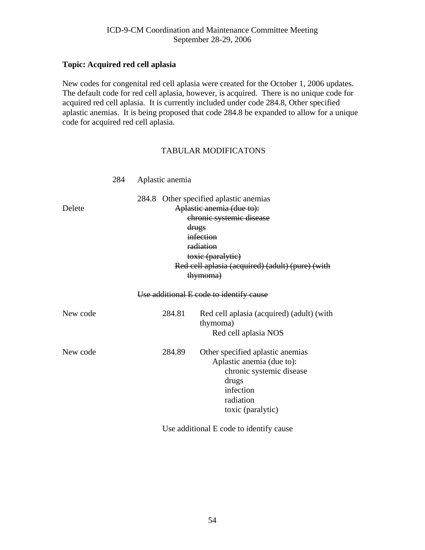### <span id="page-53-0"></span>**Topic: Acquired red cell aplasia**

New codes for congenital red cell aplasia were created for the October 1, 2006 updates. The default code for red cell aplasia, however, is acquired. There is no unique code for acquired red cell aplasia. It is currently included under code 284.8, Other specified aplastic anemias. It is being proposed that code 284.8 be expanded to allow for a unique code for acquired red cell aplasia.

#### TABULAR MODIFICATONS

|          | 284 | Aplastic anemia                                                                                                                                                                                                            |        |                                                                                                                                                   |
|----------|-----|----------------------------------------------------------------------------------------------------------------------------------------------------------------------------------------------------------------------------|--------|---------------------------------------------------------------------------------------------------------------------------------------------------|
| Delete   |     | Other specified aplastic anemias<br>284.8<br>Aplastic anemia (due to):<br>chronic systemic disease<br>drugs<br>infection<br>radiation<br>toxic (paralytic)<br>Red cell aplasia (acquired) (adult) (pure) (with<br>thymoma) |        |                                                                                                                                                   |
|          |     |                                                                                                                                                                                                                            |        | Use additional E code to identify cause                                                                                                           |
| New code |     |                                                                                                                                                                                                                            | 284.81 | Red cell aplasia (acquired) (adult) (with<br>thymoma)<br>Red cell aplasia NOS                                                                     |
| New code |     |                                                                                                                                                                                                                            | 284.89 | Other specified aplastic anemias<br>Aplastic anemia (due to):<br>chronic systemic disease<br>drugs<br>infection<br>radiation<br>toxic (paralytic) |

Use additional E code to identify cause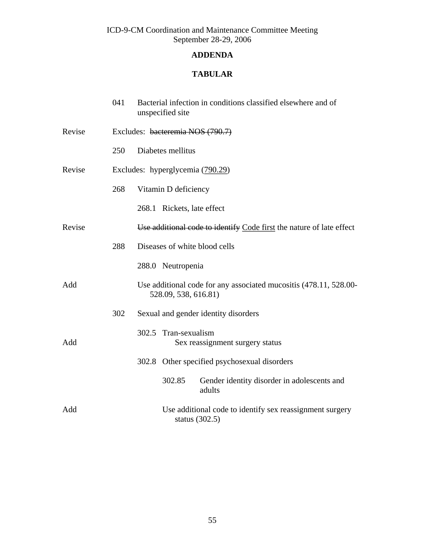# <span id="page-54-0"></span>**ADDENDA**

# **TABULAR**

|        | 041                              | Bacterial infection in conditions classified elsewhere and of<br>unspecified site         |  |
|--------|----------------------------------|-------------------------------------------------------------------------------------------|--|
| Revise | Excludes: bacteremia NOS (790.7) |                                                                                           |  |
|        | 250                              | Diabetes mellitus                                                                         |  |
| Revise |                                  | Excludes: hyperglycemia (790.29)                                                          |  |
|        | 268                              | Vitamin D deficiency                                                                      |  |
|        |                                  | 268.1 Rickets, late effect                                                                |  |
| Revise |                                  | Use additional code to identify Code first the nature of late effect                      |  |
|        | 288                              | Diseases of white blood cells                                                             |  |
|        |                                  | 288.0 Neutropenia                                                                         |  |
| Add    |                                  | Use additional code for any associated mucositis (478.11, 528.00-<br>528.09, 538, 616.81) |  |
|        | 302                              | Sexual and gender identity disorders                                                      |  |
| Add    |                                  | 302.5 Tran-sexualism<br>Sex reassignment surgery status                                   |  |
|        |                                  | 302.8 Other specified psychosexual disorders                                              |  |
|        |                                  | Gender identity disorder in adolescents and<br>302.85<br>adults                           |  |
| Add    |                                  | Use additional code to identify sex reassignment surgery<br>status $(302.5)$              |  |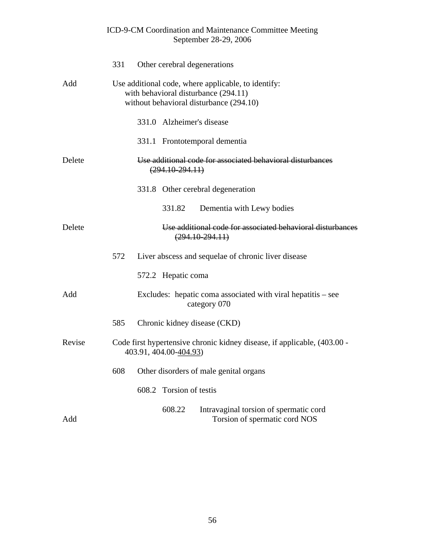|        | 331                                                                                                                                    | Other cerebral degenerations                                                                       |  |  |
|--------|----------------------------------------------------------------------------------------------------------------------------------------|----------------------------------------------------------------------------------------------------|--|--|
| Add    | Use additional code, where applicable, to identify:<br>with behavioral disturbance (294.11)<br>without behavioral disturbance (294.10) |                                                                                                    |  |  |
|        |                                                                                                                                        | 331.0 Alzheimer's disease                                                                          |  |  |
|        |                                                                                                                                        | 331.1 Frontotemporal dementia                                                                      |  |  |
| Delete |                                                                                                                                        | Use additional code for associated behavioral disturbances<br>$(294.10-294.11)$                    |  |  |
|        |                                                                                                                                        | 331.8 Other cerebral degeneration                                                                  |  |  |
|        |                                                                                                                                        | 331.82<br>Dementia with Lewy bodies                                                                |  |  |
| Delete |                                                                                                                                        | Use additional code for associated behavioral disturbances<br>$(294.10 - 294.11)$                  |  |  |
|        | 572                                                                                                                                    | Liver abscess and sequelae of chronic liver disease                                                |  |  |
|        |                                                                                                                                        | 572.2 Hepatic coma                                                                                 |  |  |
| Add    |                                                                                                                                        | Excludes: hepatic coma associated with viral hepatitis – see<br>category 070                       |  |  |
|        | 585                                                                                                                                    | Chronic kidney disease (CKD)                                                                       |  |  |
| Revise |                                                                                                                                        | Code first hypertensive chronic kidney disease, if applicable, (403.00 -<br>403.91, 404.00-404.93) |  |  |
|        |                                                                                                                                        | 608 Other disorders of male genital organs                                                         |  |  |
|        |                                                                                                                                        | Torsion of testis<br>608.2                                                                         |  |  |
| Add    |                                                                                                                                        | 608.22<br>Intravaginal torsion of spermatic cord<br>Torsion of spermatic cord NOS                  |  |  |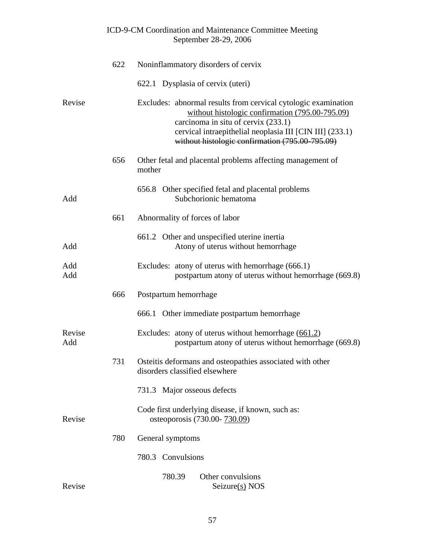|               | 622 | Noninflammatory disorders of cervix                                                                                                                                                                                                                                     |
|---------------|-----|-------------------------------------------------------------------------------------------------------------------------------------------------------------------------------------------------------------------------------------------------------------------------|
|               |     | 622.1 Dysplasia of cervix (uteri)                                                                                                                                                                                                                                       |
| Revise        |     | Excludes: abnormal results from cervical cytologic examination<br>without histologic confirmation (795.00-795.09)<br>carcinoma in situ of cervix (233.1)<br>cervical intraepithelial neoplasia III [CIN III] (233.1)<br>without histologic confirmation (795.00-795.09) |
|               | 656 | Other fetal and placental problems affecting management of<br>mother                                                                                                                                                                                                    |
| Add           |     | 656.8 Other specified fetal and placental problems<br>Subchorionic hematoma                                                                                                                                                                                             |
|               | 661 | Abnormality of forces of labor                                                                                                                                                                                                                                          |
| Add           |     | 661.2 Other and unspecified uterine inertia<br>Atony of uterus without hemorrhage                                                                                                                                                                                       |
| Add<br>Add    |     | Excludes: atony of uterus with hemorrhage (666.1)<br>postpartum atony of uterus without hemorrhage (669.8)                                                                                                                                                              |
|               | 666 | Postpartum hemorrhage                                                                                                                                                                                                                                                   |
|               |     | 666.1 Other immediate postpartum hemorrhage                                                                                                                                                                                                                             |
| Revise<br>Add |     | Excludes: atony of uterus without hemorrhage $(661.2)$<br>postpartum atony of uterus without hemorrhage (669.8)                                                                                                                                                         |
|               | 731 | Osteitis deformans and osteopathies associated with other<br>disorders classified elsewhere                                                                                                                                                                             |
|               |     | 731.3 Major osseous defects                                                                                                                                                                                                                                             |
| Revise        |     | Code first underlying disease, if known, such as:<br>osteoporosis (730.00- 730.09)                                                                                                                                                                                      |
|               | 780 | General symptoms                                                                                                                                                                                                                                                        |
|               |     | Convulsions<br>780.3                                                                                                                                                                                                                                                    |
| Revise        |     | Other convulsions<br>780.39<br>Seizure(s) NOS                                                                                                                                                                                                                           |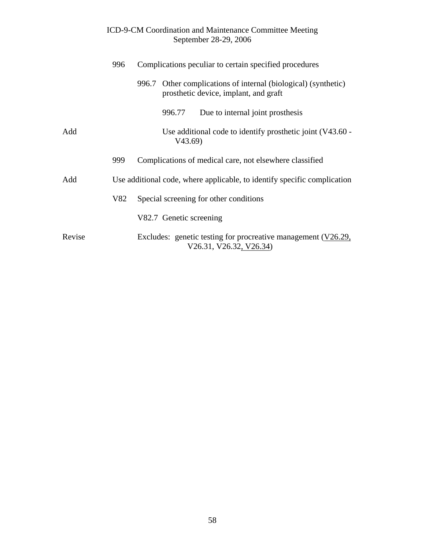|        | Complications peculiar to certain specified procedures<br>996 |  |                         |                                                                                                         |
|--------|---------------------------------------------------------------|--|-------------------------|---------------------------------------------------------------------------------------------------------|
|        |                                                               |  |                         | 996.7 Other complications of internal (biological) (synthetic)<br>prosthetic device, implant, and graft |
|        |                                                               |  | 996.77                  | Due to internal joint prosthesis                                                                        |
| Add    |                                                               |  | V43.69)                 | Use additional code to identify prosthetic joint (V43.60 -                                              |
|        | 999                                                           |  |                         | Complications of medical care, not elsewhere classified                                                 |
| Add    |                                                               |  |                         | Use additional code, where applicable, to identify specific complication                                |
|        | V82                                                           |  |                         | Special screening for other conditions                                                                  |
|        |                                                               |  | V82.7 Genetic screening |                                                                                                         |
| Revise |                                                               |  |                         | Excludes: genetic testing for procreative management $(V26.29,$<br>V26.31, V26.32, V26.34)              |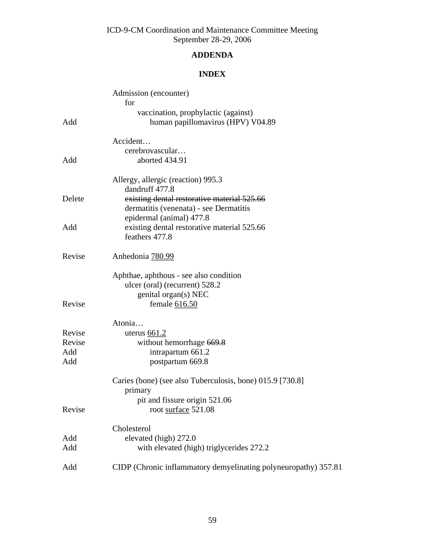# **ADDENDA**

# **INDEX**

|        | Admission (encounter)<br>for                                    |
|--------|-----------------------------------------------------------------|
|        | vaccination, prophylactic (against)                             |
| Add    | human papillomavirus (HPV) V04.89                               |
|        | Accident                                                        |
|        | cerebrovascular                                                 |
| Add    | aborted 434.91                                                  |
|        | Allergy, allergic (reaction) 995.3<br>dandruff 477.8            |
| Delete | existing dental restorative material 525.66                     |
|        | dermatitis (venenata) - see Dermatitis                          |
|        | epidermal (animal) 477.8                                        |
| Add    | existing dental restorative material 525.66<br>feathers 477.8   |
| Revise | Anhedonia 780.99                                                |
|        | Aphthae, aphthous - see also condition                          |
|        | ulcer (oral) (recurrent) 528.2                                  |
|        | genital organ(s) NEC                                            |
| Revise | female 616.50                                                   |
|        | Atonia                                                          |
| Revise | uterus $661.2$                                                  |
| Revise | without hemorrhage 669.8                                        |
| Add    | intrapartum 661.2                                               |
| Add    | postpartum 669.8                                                |
|        | Caries (bone) (see also Tuberculosis, bone) 015.9 [730.8]       |
|        | primary                                                         |
| Revise | pit and fissure origin 521.06<br>root surface 521.08            |
|        |                                                                 |
|        | Cholesterol                                                     |
| Add    | elevated (high) 272.0                                           |
| Add    | with elevated (high) triglycerides 272.2                        |
| Add    | CIDP (Chronic inflammatory demyelinating polyneuropathy) 357.81 |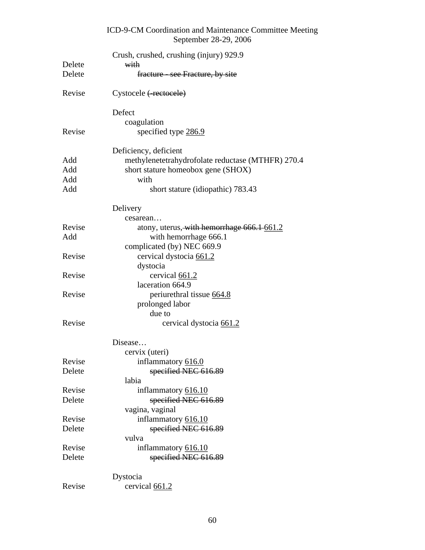|        | ICD-9-CM Coordination and Maintenance Committee Meeting<br>September 28-29, 2006 |
|--------|----------------------------------------------------------------------------------|
| Delete | Crush, crushed, crushing (injury) 929.9<br>with                                  |
| Delete | fracture - see Fracture, by site                                                 |
| Revise | Cystocele (-rectocele)                                                           |
|        | Defect                                                                           |
|        | coagulation                                                                      |
| Revise | specified type 286.9                                                             |
|        | Deficiency, deficient                                                            |
| Add    | methylenetetrahydrofolate reductase (MTHFR) 270.4                                |
| Add    | short stature homeobox gene (SHOX)                                               |
| Add    | with                                                                             |
| Add    | short stature (idiopathic) 783.43                                                |
|        | Delivery                                                                         |
|        | cesarean                                                                         |
| Revise | atony, uterus, with hemorrhage 666.1-661.2                                       |
| Add    | with hemorrhage 666.1                                                            |
|        | complicated (by) NEC 669.9                                                       |
| Revise | cervical dystocia 661.2                                                          |
|        | dystocia                                                                         |
| Revise | cervical 661.2                                                                   |
|        | laceration 664.9                                                                 |
| Revise | periurethral tissue 664.8                                                        |
|        | prolonged labor                                                                  |
|        | due to                                                                           |
| Revise | cervical dystocia 661.2                                                          |
|        | Disease                                                                          |
|        | cervix (uteri)                                                                   |
| Revise | inflammatory 616.0                                                               |
| Delete | specified NEC 616.89                                                             |
|        | labia                                                                            |
| Revise | inflammatory 616.10                                                              |
| Delete | specified NEC 616.89                                                             |
|        | vagina, vaginal                                                                  |
| Revise | inflammatory 616.10                                                              |
| Delete | specified NEC 616.89                                                             |
|        | vulva                                                                            |
| Revise | inflammatory 616.10                                                              |
| Delete | specified NEC 616.89                                                             |
|        |                                                                                  |
|        | Dystocia                                                                         |
| Revise | cervical 661.2                                                                   |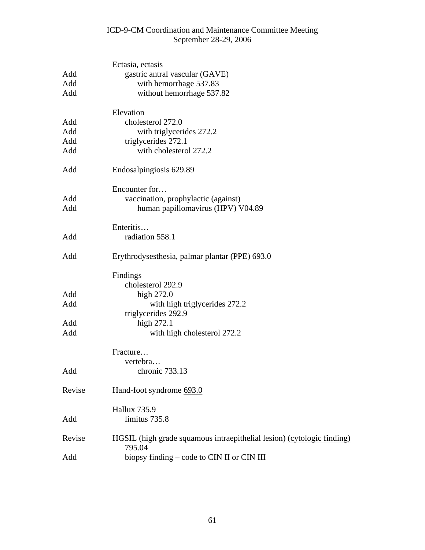|            | Ectasia, ectasis                                                                 |
|------------|----------------------------------------------------------------------------------|
| Add        | gastric antral vascular (GAVE)                                                   |
| Add        | with hemorrhage 537.83                                                           |
| Add        | without hemorrhage 537.82                                                        |
|            | Elevation                                                                        |
| Add        | cholesterol 272.0                                                                |
| Add        | with triglycerides 272.2                                                         |
| Add        | triglycerides 272.1                                                              |
| Add        | with cholesterol 272.2                                                           |
| Add        | Endosalpingiosis 629.89                                                          |
|            | Encounter for                                                                    |
| Add        | vaccination, prophylactic (against)                                              |
| Add        | human papillomavirus (HPV) V04.89                                                |
|            | Enteritis                                                                        |
| Add        | radiation 558.1                                                                  |
| Add        | Erythrodysesthesia, palmar plantar (PPE) 693.0                                   |
|            | Findings                                                                         |
|            | cholesterol 292.9                                                                |
| Add        | high 272.0                                                                       |
| Add        | with high trigly cerides 272.2                                                   |
|            | triglycerides 292.9                                                              |
| Add<br>Add | high 272.1<br>with high cholesterol 272.2                                        |
|            |                                                                                  |
|            | Fracture                                                                         |
|            | vertebra                                                                         |
| Add        | chronic 733.13                                                                   |
| Revise     | Hand-foot syndrome 693.0                                                         |
|            | <b>Hallux 735.9</b>                                                              |
| Add        | limitus 735.8                                                                    |
| Revise     | HGSIL (high grade squamous intraepithelial lesion) (cytologic finding)<br>795.04 |
| Add        | biopsy finding – code to CIN II or CIN III                                       |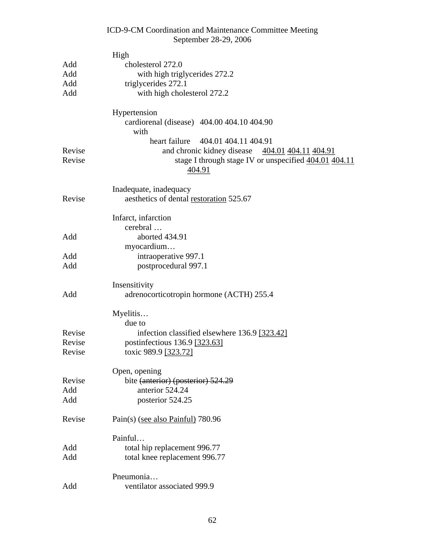|        | September 28-29, 2006                                     |
|--------|-----------------------------------------------------------|
|        | High                                                      |
| Add    | cholesterol 272.0                                         |
| Add    | with high triglycerides 272.2                             |
| Add    | triglycerides 272.1                                       |
| Add    | with high cholesterol 272.2                               |
|        |                                                           |
|        | Hypertension                                              |
|        | cardiorenal (disease) 404.00 404.10 404.90                |
|        | with                                                      |
|        | 404.01 404.11 404.91<br>heart failure                     |
| Revise | and chronic kidney disease 404.01 404.11 404.91           |
| Revise | stage I through stage IV or unspecified $404.01$ $404.11$ |
|        | 404.91                                                    |
|        |                                                           |
|        | Inadequate, inadequacy                                    |
| Revise | aesthetics of dental restoration 525.67                   |
|        | Infarct, infarction                                       |
|        | cerebral                                                  |
| Add    | aborted 434.91                                            |
|        | myocardium                                                |
| Add    | intraoperative 997.1                                      |
| Add    | postprocedural 997.1                                      |
|        |                                                           |
|        | Insensitivity                                             |
| Add    | adrenocorticotropin hormone (ACTH) 255.4                  |
|        |                                                           |
|        | Myelitis                                                  |
| Revise | due to                                                    |
| Revise | infection classified elsewhere 136.9 [323.42]             |
| Revise | postinfectious 136.9 [323.63]<br>toxic 989.9 [323.72]     |
|        |                                                           |
|        | Open, opening                                             |
| Revise | bite (anterior) (posterior) 524.29                        |
| Add    | anterior 524.24                                           |
| Add    | posterior 524.25                                          |
|        |                                                           |
| Revise | Pain(s) (see also Painful) 780.96                         |
|        |                                                           |
|        | Painful                                                   |
| Add    | total hip replacement 996.77                              |
| Add    | total knee replacement 996.77                             |
|        | Pneumonia                                                 |
| Add    | ventilator associated 999.9                               |

ICD-9-CM Coordination and Maintenance Committee Meeting

# 62